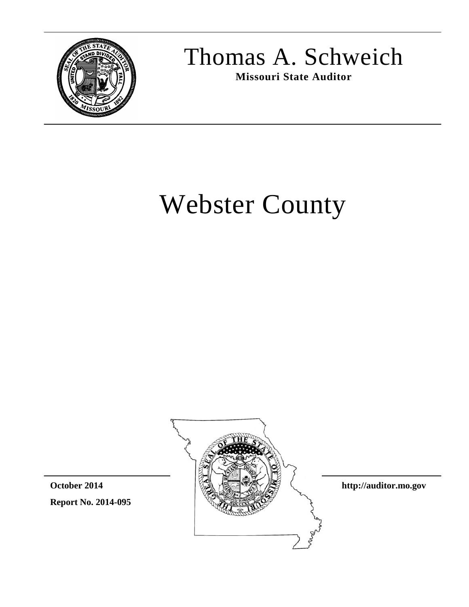

Thomas A. Schweich

**Missouri State Auditor**

# Webster County

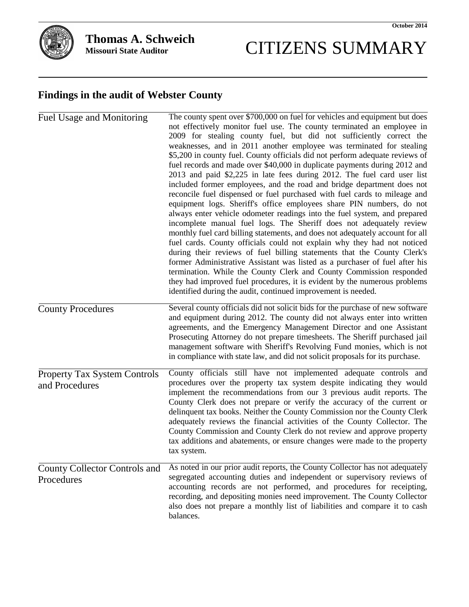# CITIZENS SUMMARY

# **Findings in the audit of Webster County**

| Fuel Usage and Monitoring                          | The county spent over \$700,000 on fuel for vehicles and equipment but does<br>not effectively monitor fuel use. The county terminated an employee in<br>2009 for stealing county fuel, but did not sufficiently correct the<br>weaknesses, and in 2011 another employee was terminated for stealing<br>\$5,200 in county fuel. County officials did not perform adequate reviews of<br>fuel records and made over \$40,000 in duplicate payments during 2012 and<br>2013 and paid \$2,225 in late fees during 2012. The fuel card user list<br>included former employees, and the road and bridge department does not<br>reconcile fuel dispensed or fuel purchased with fuel cards to mileage and<br>equipment logs. Sheriff's office employees share PIN numbers, do not<br>always enter vehicle odometer readings into the fuel system, and prepared<br>incomplete manual fuel logs. The Sheriff does not adequately review<br>monthly fuel card billing statements, and does not adequately account for all<br>fuel cards. County officials could not explain why they had not noticed<br>during their reviews of fuel billing statements that the County Clerk's<br>former Administrative Assistant was listed as a purchaser of fuel after his<br>termination. While the County Clerk and County Commission responded<br>they had improved fuel procedures, it is evident by the numerous problems<br>identified during the audit, continued improvement is needed. |
|----------------------------------------------------|----------------------------------------------------------------------------------------------------------------------------------------------------------------------------------------------------------------------------------------------------------------------------------------------------------------------------------------------------------------------------------------------------------------------------------------------------------------------------------------------------------------------------------------------------------------------------------------------------------------------------------------------------------------------------------------------------------------------------------------------------------------------------------------------------------------------------------------------------------------------------------------------------------------------------------------------------------------------------------------------------------------------------------------------------------------------------------------------------------------------------------------------------------------------------------------------------------------------------------------------------------------------------------------------------------------------------------------------------------------------------------------------------------------------------------------------------------------------------|
| <b>County Procedures</b>                           | Several county officials did not solicit bids for the purchase of new software<br>and equipment during 2012. The county did not always enter into written<br>agreements, and the Emergency Management Director and one Assistant<br>Prosecuting Attorney do not prepare timesheets. The Sheriff purchased jail<br>management software with Sheriff's Revolving Fund monies, which is not<br>in compliance with state law, and did not solicit proposals for its purchase.                                                                                                                                                                                                                                                                                                                                                                                                                                                                                                                                                                                                                                                                                                                                                                                                                                                                                                                                                                                                  |
| Property Tax System Controls<br>and Procedures     | County officials still have not implemented adequate controls and<br>procedures over the property tax system despite indicating they would<br>implement the recommendations from our 3 previous audit reports. The<br>County Clerk does not prepare or verify the accuracy of the current or<br>delinquent tax books. Neither the County Commission nor the County Clerk<br>adequately reviews the financial activities of the County Collector. The<br>County Commission and County Clerk do not review and approve property<br>tax additions and abatements, or ensure changes were made to the property<br>tax system.                                                                                                                                                                                                                                                                                                                                                                                                                                                                                                                                                                                                                                                                                                                                                                                                                                                  |
| <b>County Collector Controls and</b><br>Procedures | As noted in our prior audit reports, the County Collector has not adequately<br>segregated accounting duties and independent or supervisory reviews of<br>accounting records are not performed, and procedures for receipting,<br>recording, and depositing monies need improvement. The County Collector<br>also does not prepare a monthly list of liabilities and compare it to cash<br>balances.                                                                                                                                                                                                                                                                                                                                                                                                                                                                                                                                                                                                                                                                                                                                                                                                                                                                                                                                                                                                                                                                       |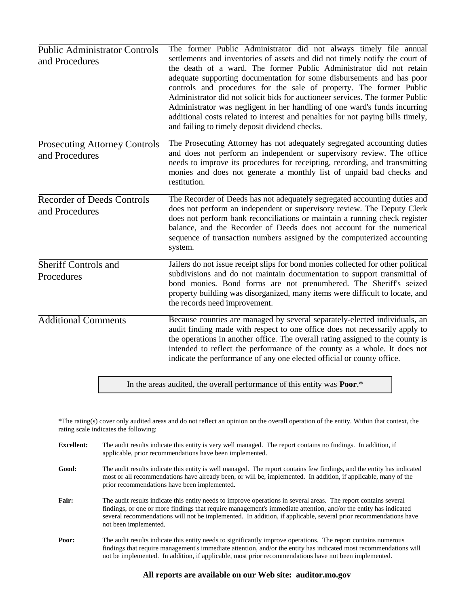| <b>Public Administrator Controls</b><br>and Procedures | The former Public Administrator did not always timely file annual<br>settlements and inventories of assets and did not timely notify the court of<br>the death of a ward. The former Public Administrator did not retain<br>adequate supporting documentation for some disbursements and has poor<br>controls and procedures for the sale of property. The former Public<br>Administrator did not solicit bids for auctioneer services. The former Public<br>Administrator was negligent in her handling of one ward's funds incurring<br>additional costs related to interest and penalties for not paying bills timely,<br>and failing to timely deposit dividend checks. |
|--------------------------------------------------------|-----------------------------------------------------------------------------------------------------------------------------------------------------------------------------------------------------------------------------------------------------------------------------------------------------------------------------------------------------------------------------------------------------------------------------------------------------------------------------------------------------------------------------------------------------------------------------------------------------------------------------------------------------------------------------|
| <b>Prosecuting Attorney Controls</b><br>and Procedures | The Prosecuting Attorney has not adequately segregated accounting duties<br>and does not perform an independent or supervisory review. The office<br>needs to improve its procedures for receipting, recording, and transmitting<br>monies and does not generate a monthly list of unpaid bad checks and<br>restitution.                                                                                                                                                                                                                                                                                                                                                    |
| <b>Recorder of Deeds Controls</b><br>and Procedures    | The Recorder of Deeds has not adequately segregated accounting duties and<br>does not perform an independent or supervisory review. The Deputy Clerk<br>does not perform bank reconciliations or maintain a running check register<br>balance, and the Recorder of Deeds does not account for the numerical<br>sequence of transaction numbers assigned by the computerized accounting<br>system.                                                                                                                                                                                                                                                                           |
| Sheriff Controls and<br>Procedures                     | Jailers do not issue receipt slips for bond monies collected for other political<br>subdivisions and do not maintain documentation to support transmittal of<br>bond monies. Bond forms are not prenumbered. The Sheriff's seized<br>property building was disorganized, many items were difficult to locate, and<br>the records need improvement.                                                                                                                                                                                                                                                                                                                          |
| <b>Additional Comments</b>                             | Because counties are managed by several separately-elected individuals, an<br>audit finding made with respect to one office does not necessarily apply to<br>the operations in another office. The overall rating assigned to the county is<br>intended to reflect the performance of the county as a whole. It does not<br>indicate the performance of any one elected official or county office.                                                                                                                                                                                                                                                                          |
|                                                        | In the areas audited, the overall performance of this entity was <b>Poor</b> .*                                                                                                                                                                                                                                                                                                                                                                                                                                                                                                                                                                                             |

**\***The rating(s) cover only audited areas and do not reflect an opinion on the overall operation of the entity. Within that context, the rating scale indicates the following:

| <b>Excellent:</b> | The audit results indicate this entity is very well managed. The report contains no findings. In addition, if<br>applicable, prior recommendations have been implemented.                                                                                                                                                                                                        |
|-------------------|----------------------------------------------------------------------------------------------------------------------------------------------------------------------------------------------------------------------------------------------------------------------------------------------------------------------------------------------------------------------------------|
| Good:             | The audit results indicate this entity is well managed. The report contains few findings, and the entity has indicated<br>most or all recommendations have already been, or will be, implemented. In addition, if applicable, many of the<br>prior recommendations have been implemented.                                                                                        |
| Fair:             | The audit results indicate this entity needs to improve operations in several areas. The report contains several<br>findings, or one or more findings that require management's immediate attention, and/or the entity has indicated<br>several recommendations will not be implemented. In addition, if applicable, several prior recommendations have<br>not been implemented. |
| Poor:             | The audit results indicate this entity needs to significantly improve operations. The report contains numerous<br>findings that require management's immediate attention, and/or the entity has indicated most recommendations will<br>not be implemented. In addition, if applicable, most prior recommendations have not been implemented.                                     |

### **All reports are available on our Web site: auditor.mo.gov**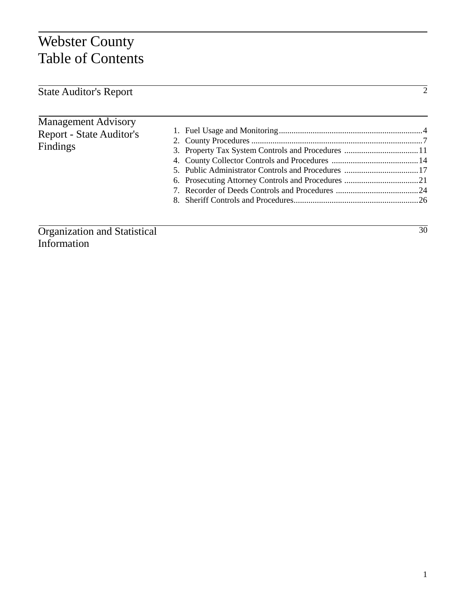# Webster County Table of Contents

| <b>State Auditor's Report</b>                                             |                                                   |    |
|---------------------------------------------------------------------------|---------------------------------------------------|----|
|                                                                           |                                                   |    |
| <b>Management Advisory</b><br><b>Report - State Auditor's</b><br>Findings | 3. Property Tax System Controls and Procedures 11 |    |
| Organization and Statistical                                              |                                                   | 30 |

Organization and Statistical Information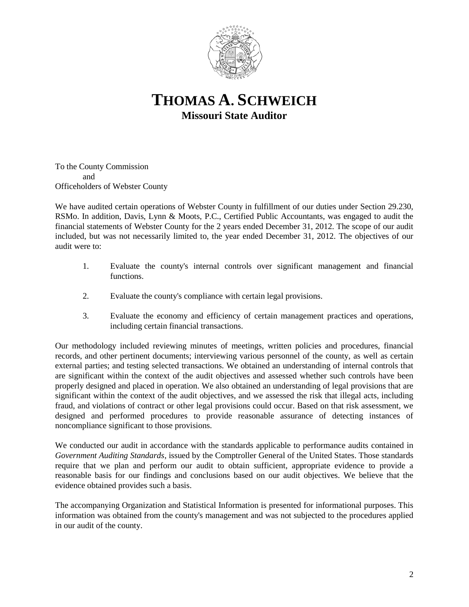

# **THOMAS A. SCHWEICH Missouri State Auditor**

To the County Commission and Officeholders of Webster County

We have audited certain operations of Webster County in fulfillment of our duties under Section 29.230, RSMo. In addition, Davis, Lynn & Moots, P.C., Certified Public Accountants, was engaged to audit the financial statements of Webster County for the 2 years ended December 31, 2012. The scope of our audit included, but was not necessarily limited to, the year ended December 31, 2012. The objectives of our audit were to:

- 1. Evaluate the county's internal controls over significant management and financial functions.
- 2. Evaluate the county's compliance with certain legal provisions.
- 3. Evaluate the economy and efficiency of certain management practices and operations, including certain financial transactions.

Our methodology included reviewing minutes of meetings, written policies and procedures, financial records, and other pertinent documents; interviewing various personnel of the county, as well as certain external parties; and testing selected transactions. We obtained an understanding of internal controls that are significant within the context of the audit objectives and assessed whether such controls have been properly designed and placed in operation. We also obtained an understanding of legal provisions that are significant within the context of the audit objectives, and we assessed the risk that illegal acts, including fraud, and violations of contract or other legal provisions could occur. Based on that risk assessment, we designed and performed procedures to provide reasonable assurance of detecting instances of noncompliance significant to those provisions.

We conducted our audit in accordance with the standards applicable to performance audits contained in *Government Auditing Standards*, issued by the Comptroller General of the United States. Those standards require that we plan and perform our audit to obtain sufficient, appropriate evidence to provide a reasonable basis for our findings and conclusions based on our audit objectives. We believe that the evidence obtained provides such a basis.

The accompanying Organization and Statistical Information is presented for informational purposes. This information was obtained from the county's management and was not subjected to the procedures applied in our audit of the county.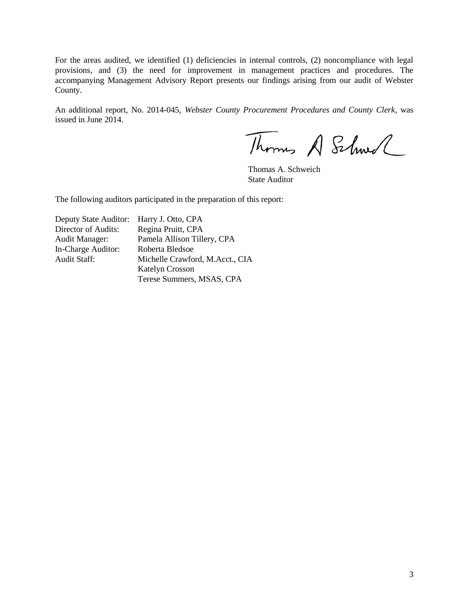For the areas audited, we identified (1) deficiencies in internal controls, (2) noncompliance with legal provisions, and (3) the need for improvement in management practices and procedures. The accompanying Management Advisory Report presents our findings arising from our audit of Webster County.

An additional report, No. 2014-045, *Webster County Procurement Procedures and County Clerk*, was issued in June 2014.

Thomas A Schwel

Thomas A. Schweich State Auditor

The following auditors participated in the preparation of this report:

| Deputy State Auditor: Harry J. Otto, CPA |                                 |
|------------------------------------------|---------------------------------|
| Director of Audits:                      | Regina Pruitt, CPA              |
| Audit Manager:                           | Pamela Allison Tillery, CPA     |
| In-Charge Auditor:                       | Roberta Bledsoe                 |
| <b>Audit Staff:</b>                      | Michelle Crawford, M.Acct., CIA |
|                                          | <b>Katelyn Crosson</b>          |
|                                          | Terese Summers, MSAS, CPA       |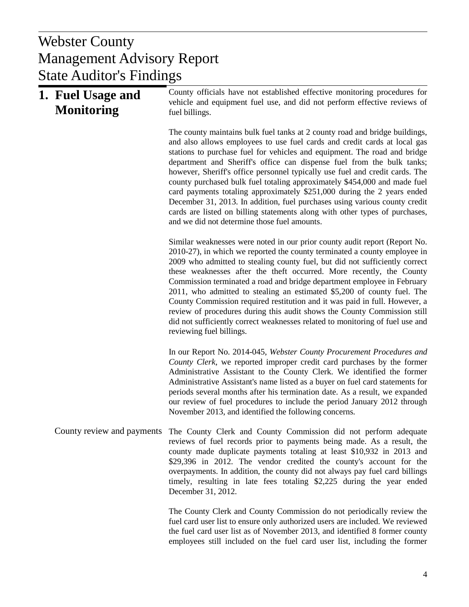# $U$  Donorty Management Advisory Report Webster County State Auditor's Findings

| 1. Fuel Usage and<br><b>Monitoring</b> | County officials have not established effective monitoring procedures for<br>vehicle and equipment fuel use, and did not perform effective reviews of<br>fuel billings.                                                                                                                                                                                                                                                                                                                                                                                                                                                                                                                                                                                              |
|----------------------------------------|----------------------------------------------------------------------------------------------------------------------------------------------------------------------------------------------------------------------------------------------------------------------------------------------------------------------------------------------------------------------------------------------------------------------------------------------------------------------------------------------------------------------------------------------------------------------------------------------------------------------------------------------------------------------------------------------------------------------------------------------------------------------|
|                                        | The county maintains bulk fuel tanks at 2 county road and bridge buildings,<br>and also allows employees to use fuel cards and credit cards at local gas<br>stations to purchase fuel for vehicles and equipment. The road and bridge<br>department and Sheriff's office can dispense fuel from the bulk tanks;<br>however, Sheriff's office personnel typically use fuel and credit cards. The<br>county purchased bulk fuel totaling approximately \$454,000 and made fuel<br>card payments totaling approximately \$251,000 during the 2 years ended<br>December 31, 2013. In addition, fuel purchases using various county credit<br>cards are listed on billing statements along with other types of purchases,<br>and we did not determine those fuel amounts. |
|                                        | Similar weaknesses were noted in our prior county audit report (Report No.<br>2010-27), in which we reported the county terminated a county employee in<br>2009 who admitted to stealing county fuel, but did not sufficiently correct<br>these weaknesses after the theft occurred. More recently, the County<br>Commission terminated a road and bridge department employee in February<br>2011, who admitted to stealing an estimated \$5,200 of county fuel. The<br>County Commission required restitution and it was paid in full. However, a<br>review of procedures during this audit shows the County Commission still<br>did not sufficiently correct weaknesses related to monitoring of fuel use and<br>reviewing fuel billings.                          |
|                                        | In our Report No. 2014-045, Webster County Procurement Procedures and<br>County Clerk, we reported improper credit card purchases by the former<br>Administrative Assistant to the County Clerk. We identified the former<br>Administrative Assistant's name listed as a buyer on fuel card statements for<br>periods several months after his termination date. As a result, we expanded<br>our review of fuel procedures to include the period January 2012 through<br>November 2013, and identified the following concerns.                                                                                                                                                                                                                                       |
|                                        | County review and payments The County Clerk and County Commission did not perform adequate<br>reviews of fuel records prior to payments being made. As a result, the<br>county made duplicate payments totaling at least \$10,932 in 2013 and<br>\$29,396 in 2012. The vendor credited the county's account for the<br>overpayments. In addition, the county did not always pay fuel card billings<br>timely, resulting in late fees totaling \$2,225 during the year ended<br>December 31, 2012.                                                                                                                                                                                                                                                                    |
|                                        | The County Clerk and County Commission do not periodically review the<br>fuel card user list to ensure only authorized users are included. We reviewed                                                                                                                                                                                                                                                                                                                                                                                                                                                                                                                                                                                                               |

the fuel card user list as of November 2013, and identified 8 former county employees still included on the fuel card user list, including the former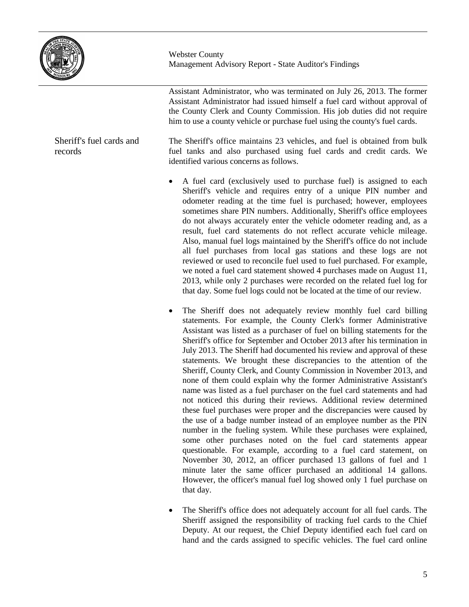

Assistant Administrator, who was terminated on July 26, 2013. The former Assistant Administrator had issued himself a fuel card without approval of the County Clerk and County Commission. His job duties did not require him to use a county vehicle or purchase fuel using the county's fuel cards.

The Sheriff's office maintains 23 vehicles, and fuel is obtained from bulk fuel tanks and also purchased using fuel cards and credit cards. We identified various concerns as follows.

- A fuel card (exclusively used to purchase fuel) is assigned to each Sheriff's vehicle and requires entry of a unique PIN number and odometer reading at the time fuel is purchased; however, employees sometimes share PIN numbers. Additionally, Sheriff's office employees do not always accurately enter the vehicle odometer reading and, as a result, fuel card statements do not reflect accurate vehicle mileage. Also, manual fuel logs maintained by the Sheriff's office do not include all fuel purchases from local gas stations and these logs are not reviewed or used to reconcile fuel used to fuel purchased. For example, we noted a fuel card statement showed 4 purchases made on August 11, 2013, while only 2 purchases were recorded on the related fuel log for that day. Some fuel logs could not be located at the time of our review.
- The Sheriff does not adequately review monthly fuel card billing statements. For example, the County Clerk's former Administrative Assistant was listed as a purchaser of fuel on billing statements for the Sheriff's office for September and October 2013 after his termination in July 2013. The Sheriff had documented his review and approval of these statements. We brought these discrepancies to the attention of the Sheriff, County Clerk, and County Commission in November 2013, and none of them could explain why the former Administrative Assistant's name was listed as a fuel purchaser on the fuel card statements and had not noticed this during their reviews. Additional review determined these fuel purchases were proper and the discrepancies were caused by the use of a badge number instead of an employee number as the PIN number in the fueling system. While these purchases were explained, some other purchases noted on the fuel card statements appear questionable. For example, according to a fuel card statement, on November 30, 2012, an officer purchased 13 gallons of fuel and 1 minute later the same officer purchased an additional 14 gallons. However, the officer's manual fuel log showed only 1 fuel purchase on that day.
- The Sheriff's office does not adequately account for all fuel cards. The Sheriff assigned the responsibility of tracking fuel cards to the Chief Deputy. At our request, the Chief Deputy identified each fuel card on hand and the cards assigned to specific vehicles. The fuel card online

Sheriff's fuel cards and records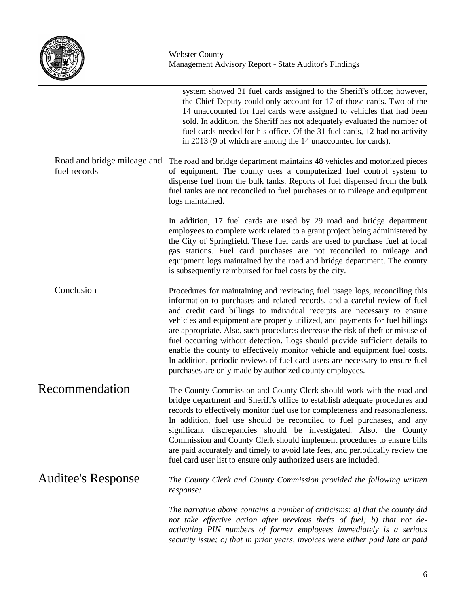

|                                             | system showed 31 fuel cards assigned to the Sheriff's office; however,<br>the Chief Deputy could only account for 17 of those cards. Two of the<br>14 unaccounted for fuel cards were assigned to vehicles that had been<br>sold. In addition, the Sheriff has not adequately evaluated the number of<br>fuel cards needed for his office. Of the 31 fuel cards, 12 had no activity<br>in 2013 (9 of which are among the 14 unaccounted for cards).                                                                                                                                                                                                                                                            |
|---------------------------------------------|----------------------------------------------------------------------------------------------------------------------------------------------------------------------------------------------------------------------------------------------------------------------------------------------------------------------------------------------------------------------------------------------------------------------------------------------------------------------------------------------------------------------------------------------------------------------------------------------------------------------------------------------------------------------------------------------------------------|
| Road and bridge mileage and<br>fuel records | The road and bridge department maintains 48 vehicles and motorized pieces<br>of equipment. The county uses a computerized fuel control system to<br>dispense fuel from the bulk tanks. Reports of fuel dispensed from the bulk<br>fuel tanks are not reconciled to fuel purchases or to mileage and equipment<br>logs maintained.                                                                                                                                                                                                                                                                                                                                                                              |
|                                             | In addition, 17 fuel cards are used by 29 road and bridge department<br>employees to complete work related to a grant project being administered by<br>the City of Springfield. These fuel cards are used to purchase fuel at local<br>gas stations. Fuel card purchases are not reconciled to mileage and<br>equipment logs maintained by the road and bridge department. The county<br>is subsequently reimbursed for fuel costs by the city.                                                                                                                                                                                                                                                                |
| Conclusion                                  | Procedures for maintaining and reviewing fuel usage logs, reconciling this<br>information to purchases and related records, and a careful review of fuel<br>and credit card billings to individual receipts are necessary to ensure<br>vehicles and equipment are properly utilized, and payments for fuel billings<br>are appropriate. Also, such procedures decrease the risk of theft or misuse of<br>fuel occurring without detection. Logs should provide sufficient details to<br>enable the county to effectively monitor vehicle and equipment fuel costs.<br>In addition, periodic reviews of fuel card users are necessary to ensure fuel<br>purchases are only made by authorized county employees. |
| Recommendation                              | The County Commission and County Clerk should work with the road and<br>bridge department and Sheriff's office to establish adequate procedures and<br>records to effectively monitor fuel use for completeness and reasonableness.<br>In addition, fuel use should be reconciled to fuel purchases, and any<br>significant discrepancies should be investigated. Also, the County<br>Commission and County Clerk should implement procedures to ensure bills<br>are paid accurately and timely to avoid late fees, and periodically review the<br>fuel card user list to ensure only authorized users are included.                                                                                           |
| Auditee's Response                          | The County Clerk and County Commission provided the following written<br>response:                                                                                                                                                                                                                                                                                                                                                                                                                                                                                                                                                                                                                             |
|                                             | The narrative above contains a number of criticisms: a) that the county did<br>not take effective action after previous thefts of fuel; b) that not de-<br>activating PIN numbers of former employees immediately is a serious<br>security issue; c) that in prior years, invoices were either paid late or paid                                                                                                                                                                                                                                                                                                                                                                                               |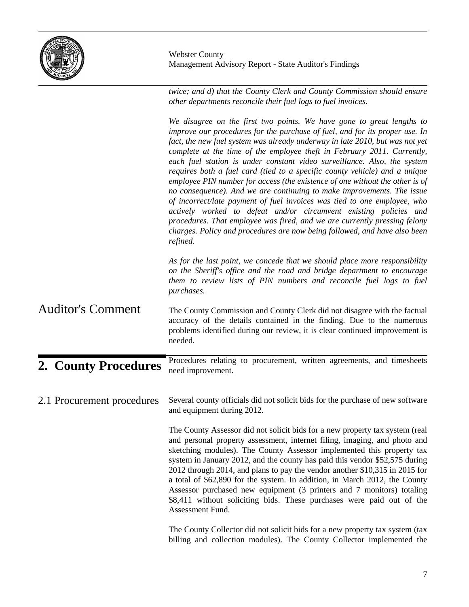

*twice; and d) that the County Clerk and County Commission should ensure other departments reconcile their fuel logs to fuel invoices.*

|                            | We disagree on the first two points. We have gone to great lengths to<br>improve our procedures for the purchase of fuel, and for its proper use. In<br>fact, the new fuel system was already underway in late 2010, but was not yet<br>complete at the time of the employee theft in February 2011. Currently,<br>each fuel station is under constant video surveillance. Also, the system<br>requires both a fuel card (tied to a specific county vehicle) and a unique<br>employee PIN number for access (the existence of one without the other is of<br>no consequence). And we are continuing to make improvements. The issue<br>of incorrect/late payment of fuel invoices was tied to one employee, who<br>actively worked to defeat and/or circumvent existing policies and<br>procedures. That employee was fired, and we are currently pressing felony<br>charges. Policy and procedures are now being followed, and have also been<br>refined. |
|----------------------------|------------------------------------------------------------------------------------------------------------------------------------------------------------------------------------------------------------------------------------------------------------------------------------------------------------------------------------------------------------------------------------------------------------------------------------------------------------------------------------------------------------------------------------------------------------------------------------------------------------------------------------------------------------------------------------------------------------------------------------------------------------------------------------------------------------------------------------------------------------------------------------------------------------------------------------------------------------|
|                            | As for the last point, we concede that we should place more responsibility<br>on the Sheriff's office and the road and bridge department to encourage<br>them to review lists of PIN numbers and reconcile fuel logs to fuel<br>purchases.                                                                                                                                                                                                                                                                                                                                                                                                                                                                                                                                                                                                                                                                                                                 |
| <b>Auditor's Comment</b>   | The County Commission and County Clerk did not disagree with the factual<br>accuracy of the details contained in the finding. Due to the numerous<br>problems identified during our review, it is clear continued improvement is<br>needed.                                                                                                                                                                                                                                                                                                                                                                                                                                                                                                                                                                                                                                                                                                                |
| 2. County Procedures       | Procedures relating to procurement, written agreements, and timesheets<br>need improvement.                                                                                                                                                                                                                                                                                                                                                                                                                                                                                                                                                                                                                                                                                                                                                                                                                                                                |
| 2.1 Procurement procedures | Several county officials did not solicit bids for the purchase of new software<br>and equipment during 2012.<br>The County Assessor did not solicit bids for a new property tax system (real<br>and personal property assessment, internet filing, imaging, and photo and<br>sketching modules). The County Assessor implemented this property tax<br>system in January 2012, and the county has paid this vendor \$52,575 during<br>2012 through 2014, and plans to pay the vendor another \$10,315 in 2015 for<br>a total of \$62,890 for the system. In addition, in March 2012, the County<br>Assessor purchased new equipment (3 printers and 7 monitors) totaling<br>\$8,411 without soliciting bids. These purchases were paid out of the<br>Assessment Fund.                                                                                                                                                                                       |
|                            | The County Collector did not solicit bids for a new property tax system (tax<br>billing and collection modules). The County Collector implemented the                                                                                                                                                                                                                                                                                                                                                                                                                                                                                                                                                                                                                                                                                                                                                                                                      |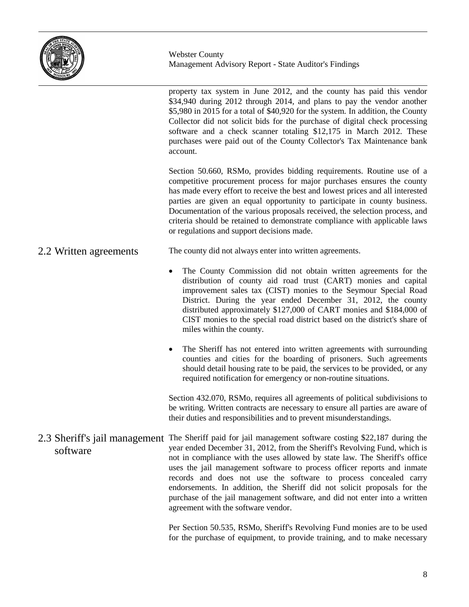

property tax system in June 2012, and the county has paid this vendor \$34,940 during 2012 through 2014, and plans to pay the vendor another \$5,980 in 2015 for a total of \$40,920 for the system. In addition, the County Collector did not solicit bids for the purchase of digital check processing software and a check scanner totaling \$12,175 in March 2012. These purchases were paid out of the County Collector's Tax Maintenance bank account.

Section 50.660, RSMo, provides bidding requirements. Routine use of a competitive procurement process for major purchases ensures the county has made every effort to receive the best and lowest prices and all interested parties are given an equal opportunity to participate in county business. Documentation of the various proposals received, the selection process, and criteria should be retained to demonstrate compliance with applicable laws or regulations and support decisions made.

#### The county did not always enter into written agreements. 2.2 Written agreements

- The County Commission did not obtain written agreements for the distribution of county aid road trust (CART) monies and capital improvement sales tax (CIST) monies to the Seymour Special Road District. During the year ended December 31, 2012, the county distributed approximately \$127,000 of CART monies and \$184,000 of CIST monies to the special road district based on the district's share of miles within the county.
- The Sheriff has not entered into written agreements with surrounding counties and cities for the boarding of prisoners. Such agreements should detail housing rate to be paid, the services to be provided, or any required notification for emergency or non-routine situations.

Section 432.070, RSMo, requires all agreements of political subdivisions to be writing. Written contracts are necessary to ensure all parties are aware of their duties and responsibilities and to prevent misunderstandings.

2.3 Sheriff's jail management The Sheriff paid for jail management software costing \$22,187 during the year ended December 31, 2012, from the Sheriff's Revolving Fund, which is not in compliance with the uses allowed by state law. The Sheriff's office uses the jail management software to process officer reports and inmate records and does not use the software to process concealed carry endorsements. In addition, the Sheriff did not solicit proposals for the purchase of the jail management software, and did not enter into a written agreement with the software vendor. software

> Per Section 50.535, RSMo, Sheriff's Revolving Fund monies are to be used for the purchase of equipment, to provide training, and to make necessary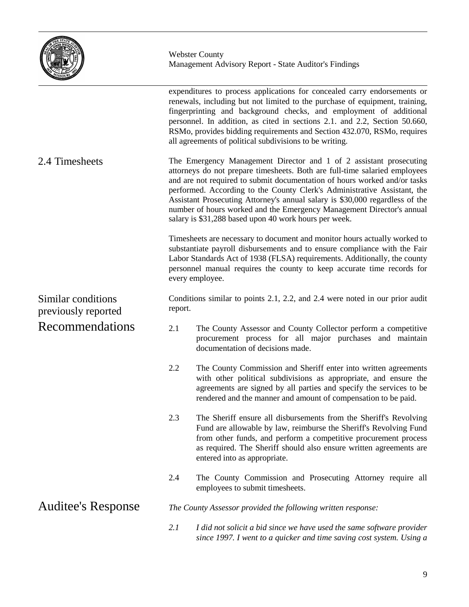

|                                           |         | expenditures to process applications for concealed carry endorsements or<br>renewals, including but not limited to the purchase of equipment, training,<br>fingerprinting and background checks, and employment of additional<br>personnel. In addition, as cited in sections 2.1. and 2.2, Section 50.660,<br>RSMo, provides bidding requirements and Section 432.070, RSMo, requires<br>all agreements of political subdivisions to be writing.                                                                           |
|-------------------------------------------|---------|-----------------------------------------------------------------------------------------------------------------------------------------------------------------------------------------------------------------------------------------------------------------------------------------------------------------------------------------------------------------------------------------------------------------------------------------------------------------------------------------------------------------------------|
| 2.4 Timesheets                            |         | The Emergency Management Director and 1 of 2 assistant prosecuting<br>attorneys do not prepare timesheets. Both are full-time salaried employees<br>and are not required to submit documentation of hours worked and/or tasks<br>performed. According to the County Clerk's Administrative Assistant, the<br>Assistant Prosecuting Attorney's annual salary is \$30,000 regardless of the<br>number of hours worked and the Emergency Management Director's annual<br>salary is \$31,288 based upon 40 work hours per week. |
|                                           |         | Timesheets are necessary to document and monitor hours actually worked to<br>substantiate payroll disbursements and to ensure compliance with the Fair<br>Labor Standards Act of 1938 (FLSA) requirements. Additionally, the county<br>personnel manual requires the county to keep accurate time records for<br>every employee.                                                                                                                                                                                            |
| Similar conditions<br>previously reported | report. | Conditions similar to points 2.1, 2.2, and 2.4 were noted in our prior audit                                                                                                                                                                                                                                                                                                                                                                                                                                                |
| Recommendations                           | 2.1     | The County Assessor and County Collector perform a competitive<br>procurement process for all major purchases and maintain<br>documentation of decisions made.                                                                                                                                                                                                                                                                                                                                                              |
|                                           | 2.2     | The County Commission and Sheriff enter into written agreements<br>with other political subdivisions as appropriate, and ensure the<br>agreements are signed by all parties and specify the services to be<br>rendered and the manner and amount of compensation to be paid.                                                                                                                                                                                                                                                |
|                                           | 2.3     | The Sheriff ensure all disbursements from the Sheriff's Revolving<br>Fund are allowable by law, reimburse the Sheriff's Revolving Fund<br>from other funds, and perform a competitive procurement process<br>as required. The Sheriff should also ensure written agreements are<br>entered into as appropriate.                                                                                                                                                                                                             |
|                                           | 2.4     | The County Commission and Prosecuting Attorney require all<br>employees to submit timesheets.                                                                                                                                                                                                                                                                                                                                                                                                                               |
| <b>Auditee's Response</b>                 |         | The County Assessor provided the following written response:                                                                                                                                                                                                                                                                                                                                                                                                                                                                |
|                                           | 2.1     | I did not solicit a bid since we have used the same software provider<br>since 1997. I went to a quicker and time saving cost system. Using a                                                                                                                                                                                                                                                                                                                                                                               |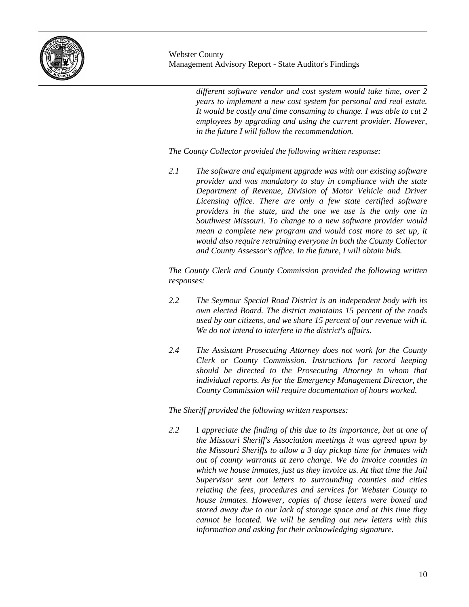

*different software vendor and cost system would take time, over 2 years to implement a new cost system for personal and real estate. It would be costly and time consuming to change. I was able to cut 2 employees by upgrading and using the current provider. However, in the future I will follow the recommendation.*

*The County Collector provided the following written response:*

*2.1 The software and equipment upgrade was with our existing software provider and was mandatory to stay in compliance with the state Department of Revenue, Division of Motor Vehicle and Driver Licensing office. There are only a few state certified software providers in the state, and the one we use is the only one in Southwest Missouri. To change to a new software provider would mean a complete new program and would cost more to set up, it would also require retraining everyone in both the County Collector and County Assessor's office. In the future, I will obtain bids.*

*The County Clerk and County Commission provided the following written responses:*

- *2.2 The Seymour Special Road District is an independent body with its own elected Board. The district maintains 15 percent of the roads used by our citizens, and we share 15 percent of our revenue with it. We do not intend to interfere in the district's affairs.*
- *2.4 The Assistant Prosecuting Attorney does not work for the County Clerk or County Commission. Instructions for record keeping should be directed to the Prosecuting Attorney to whom that individual reports. As for the Emergency Management Director, the County Commission will require documentation of hours worked.*

*The Sheriff provided the following written responses:*

*2.2* I *appreciate the finding of this due to its importance, but at one of the Missouri Sheriff's Association meetings it was agreed upon by the Missouri Sheriffs to allow a 3 day pickup time for inmates with out of county warrants at zero charge. We do invoice counties in which we house inmates, just as they invoice us. At that time the Jail Supervisor sent out letters to surrounding counties and cities relating the fees, procedures and services for Webster County to house inmates. However, copies of those letters were boxed and stored away due to our lack of storage space and at this time they cannot be located. We will be sending out new letters with this information and asking for their acknowledging signature.*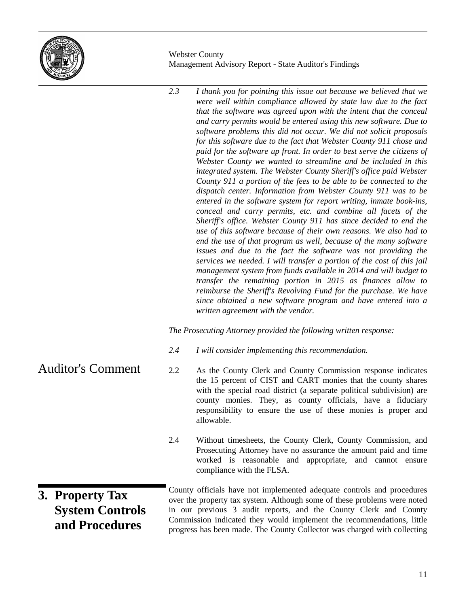

*2.3 I thank you for pointing this issue out because we believed that we were well within compliance allowed by state law due to the fact that the software was agreed upon with the intent that the conceal and carry permits would be entered using this new software. Due to software problems this did not occur. We did not solicit proposals for this software due to the fact that Webster County 911 chose and paid for the software up front. In order to best serve the citizens of Webster County we wanted to streamline and be included in this integrated system. The Webster County Sheriff's office paid Webster County 911 a portion of the fees to be able to be connected to the dispatch center. Information from Webster County 911 was to be entered in the software system for report writing, inmate book-ins, conceal and carry permits, etc. and combine all facets of the Sheriff's office. Webster County 911 has since decided to end the use of this software because of their own reasons. We also had to end the use of that program as well, because of the many software issues and due to the fact the software was not providing the services we needed. I will transfer a portion of the cost of this jail management system from funds available in 2014 and will budget to transfer the remaining portion in 2015 as finances allow to reimburse the Sheriff's Revolving Fund for the purchase. We have since obtained a new software program and have entered into a written agreement with the vendor. The Prosecuting Attorney provided the following written response: 2.4 I will consider implementing this recommendation.* 2.2 As the County Clerk and County Commission response indicates the 15 percent of CIST and CART monies that the county shares with the special road district (a separate political subdivision) are county monies. They, as county officials, have a fiduciary responsibility to ensure the use of these monies is proper and allowable. 2.4 Without timesheets, the County Clerk, County Commission, and Prosecuting Attorney have no assurance the amount paid and time worked is reasonable and appropriate, and cannot ensure compliance with the FLSA. County officials have not implemented adequate controls and procedures over the property tax system. Although some of these problems were noted in our previous 3 audit reports, and the County Clerk and County Commission indicated they would implement the recommendations, little progress has been made. The County Collector was charged with collecting Auditor's Comment **3. Property Tax System Controls and Procedures**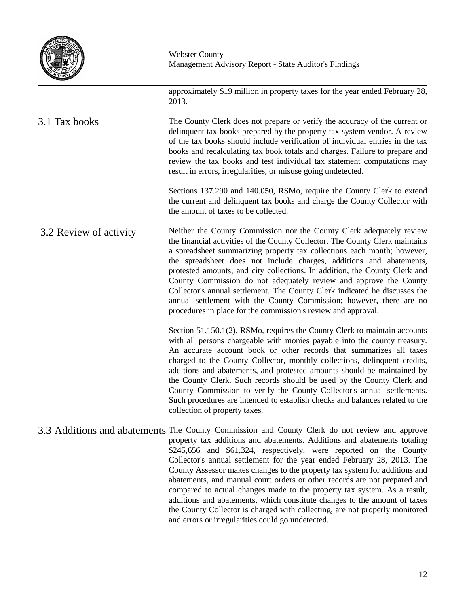

approximately \$19 million in property taxes for the year ended February 28, 2013.

The County Clerk does not prepare or verify the accuracy of the current or delinquent tax books prepared by the property tax system vendor. A review of the tax books should include verification of individual entries in the tax books and recalculating tax book totals and charges. Failure to prepare and review the tax books and test individual tax statement computations may result in errors, irregularities, or misuse going undetected. 3.1 Tax books

> Sections 137.290 and 140.050, RSMo, require the County Clerk to extend the current and delinquent tax books and charge the County Collector with the amount of taxes to be collected.

Neither the County Commission nor the County Clerk adequately review the financial activities of the County Collector. The County Clerk maintains a spreadsheet summarizing property tax collections each month; however, the spreadsheet does not include charges, additions and abatements, protested amounts, and city collections. In addition, the County Clerk and County Commission do not adequately review and approve the County Collector's annual settlement. The County Clerk indicated he discusses the annual settlement with the County Commission; however, there are no procedures in place for the commission's review and approval. 3.2 Review of activity

> Section 51.150.1(2), RSMo, requires the County Clerk to maintain accounts with all persons chargeable with monies payable into the county treasury. An accurate account book or other records that summarizes all taxes charged to the County Collector, monthly collections, delinquent credits, additions and abatements, and protested amounts should be maintained by the County Clerk. Such records should be used by the County Clerk and County Commission to verify the County Collector's annual settlements. Such procedures are intended to establish checks and balances related to the collection of property taxes.

3.3 Additions and abatements The County Commission and County Clerk do not review and approve property tax additions and abatements. Additions and abatements totaling \$245,656 and \$61,324, respectively, were reported on the County Collector's annual settlement for the year ended February 28, 2013. The County Assessor makes changes to the property tax system for additions and abatements, and manual court orders or other records are not prepared and compared to actual changes made to the property tax system. As a result, additions and abatements, which constitute changes to the amount of taxes the County Collector is charged with collecting, are not properly monitored and errors or irregularities could go undetected.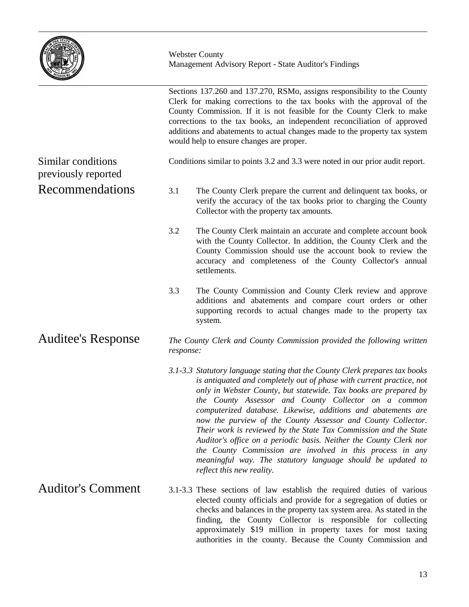

| <b>The Company of Company</b>             |                                                                                                                                                                                                                                                                                                                                                                                                                                                                                                                                                                                                                                                                                                                     |
|-------------------------------------------|---------------------------------------------------------------------------------------------------------------------------------------------------------------------------------------------------------------------------------------------------------------------------------------------------------------------------------------------------------------------------------------------------------------------------------------------------------------------------------------------------------------------------------------------------------------------------------------------------------------------------------------------------------------------------------------------------------------------|
|                                           | Sections 137.260 and 137.270, RSMo, assigns responsibility to the County<br>Clerk for making corrections to the tax books with the approval of the<br>County Commission. If it is not feasible for the County Clerk to make<br>corrections to the tax books, an independent reconciliation of approved<br>additions and abatements to actual changes made to the property tax system<br>would help to ensure changes are proper.                                                                                                                                                                                                                                                                                    |
| Similar conditions<br>previously reported | Conditions similar to points 3.2 and 3.3 were noted in our prior audit report.                                                                                                                                                                                                                                                                                                                                                                                                                                                                                                                                                                                                                                      |
| <b>Recommendations</b>                    | 3.1<br>The County Clerk prepare the current and delinquent tax books, or<br>verify the accuracy of the tax books prior to charging the County<br>Collector with the property tax amounts.                                                                                                                                                                                                                                                                                                                                                                                                                                                                                                                           |
|                                           | 3.2<br>The County Clerk maintain an accurate and complete account book<br>with the County Collector. In addition, the County Clerk and the<br>County Commission should use the account book to review the<br>accuracy and completeness of the County Collector's annual<br>settlements.                                                                                                                                                                                                                                                                                                                                                                                                                             |
|                                           | 3.3<br>The County Commission and County Clerk review and approve<br>additions and abatements and compare court orders or other<br>supporting records to actual changes made to the property tax<br>system.                                                                                                                                                                                                                                                                                                                                                                                                                                                                                                          |
| <b>Auditee's Response</b>                 | The County Clerk and County Commission provided the following written<br>response:                                                                                                                                                                                                                                                                                                                                                                                                                                                                                                                                                                                                                                  |
|                                           | 3.1-3.3 Statutory language stating that the County Clerk prepares tax books<br>is antiquated and completely out of phase with current practice, not<br>only in Webster County, but statewide. Tax books are prepared by<br>the County Assessor and County Collector on a common<br>computerized database. Likewise, additions and abatements are<br>now the purview of the County Assessor and County Collector.<br>Their work is reviewed by the State Tax Commission and the State<br>Auditor's office on a periodic basis. Neither the County Clerk nor<br>the County Commission are involved in this process in any<br>meaningful way. The statutory language should be updated to<br>reflect this new reality. |
| <b>Auditor's Comment</b>                  | 3.1-3.3 These sections of law establish the required duties of various<br>elected county officials and provide for a segregation of duties or<br>checks and balances in the property tax system area. As stated in the<br>finding, the County Collector is responsible for collecting                                                                                                                                                                                                                                                                                                                                                                                                                               |

approximately \$19 million in property taxes for most taxing authorities in the county. Because the County Commission and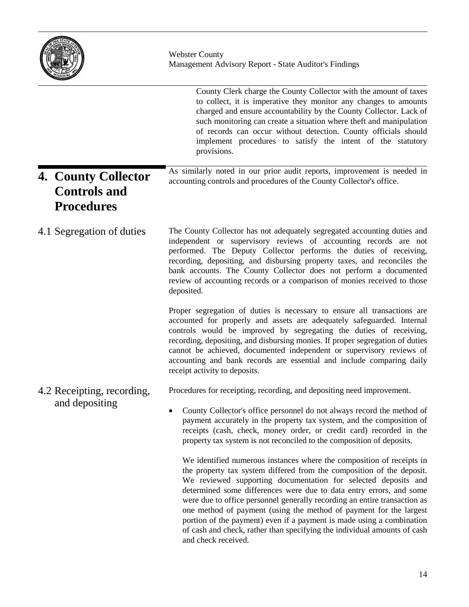|                                                                 | <b>Webster County</b><br>Management Advisory Report - State Auditor's Findings                                                                                                                                                                                                                                                                                                                                                                                                                                                                                                                                         |  |  |
|-----------------------------------------------------------------|------------------------------------------------------------------------------------------------------------------------------------------------------------------------------------------------------------------------------------------------------------------------------------------------------------------------------------------------------------------------------------------------------------------------------------------------------------------------------------------------------------------------------------------------------------------------------------------------------------------------|--|--|
|                                                                 | County Clerk charge the County Collector with the amount of taxes<br>to collect, it is imperative they monitor any changes to amounts<br>charged and ensure accountability by the County Collector. Lack of<br>such monitoring can create a situation where theft and manipulation<br>of records can occur without detection. County officials should<br>implement procedures to satisfy the intent of the statutory<br>provisions.                                                                                                                                                                                    |  |  |
| 4. County Collector<br><b>Controls and</b><br><b>Procedures</b> | As similarly noted in our prior audit reports, improvement is needed in<br>accounting controls and procedures of the County Collector's office.                                                                                                                                                                                                                                                                                                                                                                                                                                                                        |  |  |
| 4.1 Segregation of duties                                       | The County Collector has not adequately segregated accounting duties and<br>independent or supervisory reviews of accounting records are not<br>performed. The Deputy Collector performs the duties of receiving,<br>recording, depositing, and disbursing property taxes, and reconciles the<br>bank accounts. The County Collector does not perform a documented<br>review of accounting records or a comparison of monies received to those<br>deposited.                                                                                                                                                           |  |  |
|                                                                 | Proper segregation of duties is necessary to ensure all transactions are<br>accounted for properly and assets are adequately safeguarded. Internal<br>controls would be improved by segregating the duties of receiving,<br>recording, depositing, and disbursing monies. If proper segregation of duties<br>cannot be achieved, documented independent or supervisory reviews of<br>accounting and bank records are essential and include comparing daily<br>receipt activity to deposits.                                                                                                                            |  |  |
| 4.2 Receipting, recording,                                      | Procedures for receipting, recording, and depositing need improvement.                                                                                                                                                                                                                                                                                                                                                                                                                                                                                                                                                 |  |  |
| and depositing                                                  | County Collector's office personnel do not always record the method of<br>payment accurately in the property tax system, and the composition of<br>receipts (cash, check, money order, or credit card) recorded in the<br>property tax system is not reconciled to the composition of deposits.                                                                                                                                                                                                                                                                                                                        |  |  |
|                                                                 | We identified numerous instances where the composition of receipts in<br>the property tax system differed from the composition of the deposit.<br>We reviewed supporting documentation for selected deposits and<br>determined some differences were due to data entry errors, and some<br>were due to office personnel generally recording an entire transaction as<br>one method of payment (using the method of payment for the largest<br>portion of the payment) even if a payment is made using a combination<br>of cash and check, rather than specifying the individual amounts of cash<br>and check received. |  |  |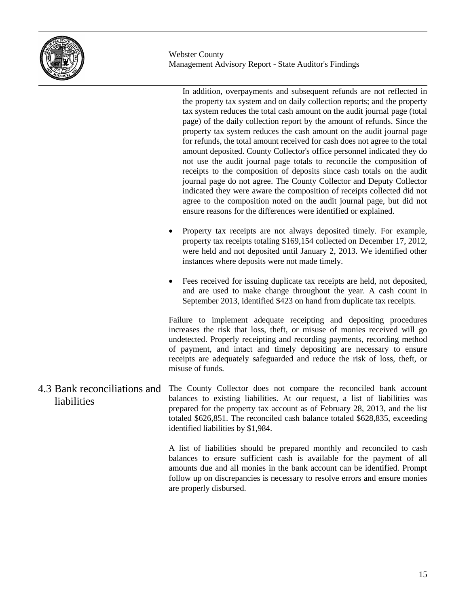

In addition, overpayments and subsequent refunds are not reflected in the property tax system and on daily collection reports; and the property tax system reduces the total cash amount on the audit journal page (total page) of the daily collection report by the amount of refunds. Since the property tax system reduces the cash amount on the audit journal page for refunds, the total amount received for cash does not agree to the total amount deposited. County Collector's office personnel indicated they do not use the audit journal page totals to reconcile the composition of receipts to the composition of deposits since cash totals on the audit journal page do not agree. The County Collector and Deputy Collector indicated they were aware the composition of receipts collected did not agree to the composition noted on the audit journal page, but did not ensure reasons for the differences were identified or explained.

- Property tax receipts are not always deposited timely. For example, property tax receipts totaling \$169,154 collected on December 17, 2012, were held and not deposited until January 2, 2013. We identified other instances where deposits were not made timely.
- Fees received for issuing duplicate tax receipts are held, not deposited, and are used to make change throughout the year. A cash count in September 2013, identified \$423 on hand from duplicate tax receipts.

Failure to implement adequate receipting and depositing procedures increases the risk that loss, theft, or misuse of monies received will go undetected. Properly receipting and recording payments, recording method of payment, and intact and timely depositing are necessary to ensure receipts are adequately safeguarded and reduce the risk of loss, theft, or misuse of funds.

The County Collector does not compare the reconciled bank account balances to existing liabilities. At our request, a list of liabilities was prepared for the property tax account as of February 28, 2013, and the list totaled \$626,851. The reconciled cash balance totaled \$628,835, exceeding identified liabilities by \$1,984. 4.3 Bank reconciliations and liabilities

> A list of liabilities should be prepared monthly and reconciled to cash balances to ensure sufficient cash is available for the payment of all amounts due and all monies in the bank account can be identified. Prompt follow up on discrepancies is necessary to resolve errors and ensure monies are properly disbursed.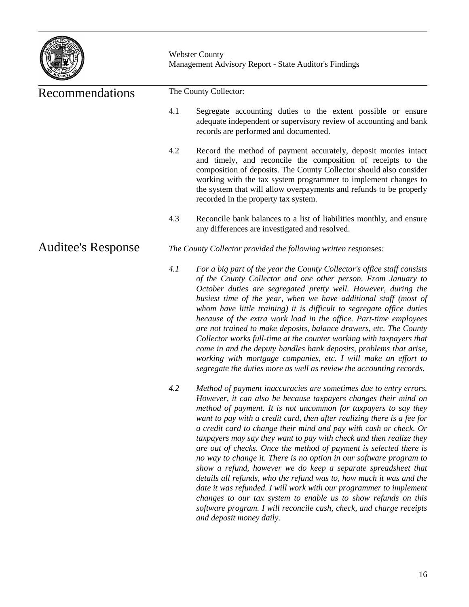

| Recommendations           | The County Collector:                                                                                                                                                                                                                                                                                                                                                                                                                                                                                                                                                                                                                                                                                                                                                                                                                                                                                                                                                |  |
|---------------------------|----------------------------------------------------------------------------------------------------------------------------------------------------------------------------------------------------------------------------------------------------------------------------------------------------------------------------------------------------------------------------------------------------------------------------------------------------------------------------------------------------------------------------------------------------------------------------------------------------------------------------------------------------------------------------------------------------------------------------------------------------------------------------------------------------------------------------------------------------------------------------------------------------------------------------------------------------------------------|--|
|                           | 4.1<br>Segregate accounting duties to the extent possible or ensure<br>adequate independent or supervisory review of accounting and bank<br>records are performed and documented.                                                                                                                                                                                                                                                                                                                                                                                                                                                                                                                                                                                                                                                                                                                                                                                    |  |
|                           | 4.2<br>Record the method of payment accurately, deposit monies intact<br>and timely, and reconcile the composition of receipts to the<br>composition of deposits. The County Collector should also consider<br>working with the tax system programmer to implement changes to<br>the system that will allow overpayments and refunds to be properly<br>recorded in the property tax system.                                                                                                                                                                                                                                                                                                                                                                                                                                                                                                                                                                          |  |
|                           | 4.3<br>Reconcile bank balances to a list of liabilities monthly, and ensure<br>any differences are investigated and resolved.                                                                                                                                                                                                                                                                                                                                                                                                                                                                                                                                                                                                                                                                                                                                                                                                                                        |  |
| <b>Auditee's Response</b> | The County Collector provided the following written responses:                                                                                                                                                                                                                                                                                                                                                                                                                                                                                                                                                                                                                                                                                                                                                                                                                                                                                                       |  |
|                           | 4.1<br>For a big part of the year the County Collector's office staff consists<br>of the County Collector and one other person. From January to<br>October duties are segregated pretty well. However, during the<br>busiest time of the year, when we have additional staff (most of<br>whom have little training) it is difficult to segregate office duties<br>because of the extra work load in the office. Part-time employees<br>are not trained to make deposits, balance drawers, etc. The County<br>Collector works full-time at the counter working with taxpayers that<br>come in and the deputy handles bank deposits, problems that arise,<br>working with mortgage companies, etc. I will make an effort to<br>segregate the duties more as well as review the accounting records.                                                                                                                                                                     |  |
|                           | 4.2<br>Method of payment inaccuracies are sometimes due to entry errors.<br>However, it can also be because taxpayers changes their mind on<br>method of payment. It is not uncommon for taxpayers to say they<br>want to pay with a credit card, then after realizing there is a fee for<br>a credit card to change their mind and pay with cash or check. Or<br>taxpayers may say they want to pay with check and then realize they<br>are out of checks. Once the method of payment is selected there is<br>no way to change it. There is no option in our software program to<br>show a refund, however we do keep a separate spreadsheet that<br>details all refunds, who the refund was to, how much it was and the<br>date it was refunded. I will work with our programmer to implement<br>changes to our tax system to enable us to show refunds on this<br>software program. I will reconcile cash, check, and charge receipts<br>and deposit money daily. |  |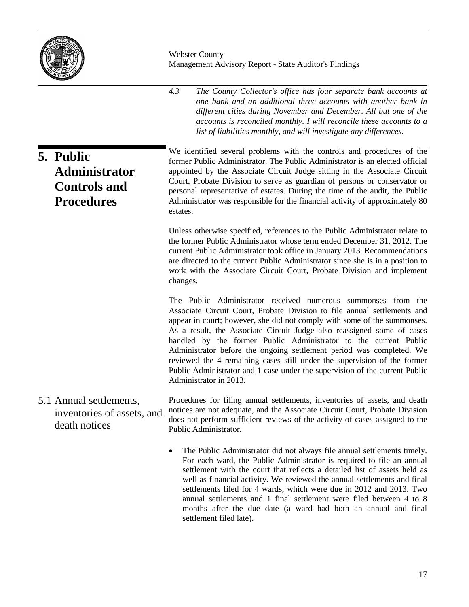

|                                                                               | 4.3<br>The County Collector's office has four separate bank accounts at<br>one bank and an additional three accounts with another bank in<br>different cities during November and December. All but one of the<br>accounts is reconciled monthly. I will reconcile these accounts to a<br>list of liabilities monthly, and will investigate any differences.                                                                                                                                                                                                                                                                     |  |  |
|-------------------------------------------------------------------------------|----------------------------------------------------------------------------------------------------------------------------------------------------------------------------------------------------------------------------------------------------------------------------------------------------------------------------------------------------------------------------------------------------------------------------------------------------------------------------------------------------------------------------------------------------------------------------------------------------------------------------------|--|--|
| 5. Public<br><b>Administrator</b><br><b>Controls and</b><br><b>Procedures</b> | We identified several problems with the controls and procedures of the<br>former Public Administrator. The Public Administrator is an elected official<br>appointed by the Associate Circuit Judge sitting in the Associate Circuit<br>Court, Probate Division to serve as guardian of persons or conservator or<br>personal representative of estates. During the time of the audit, the Public<br>Administrator was responsible for the financial activity of approximately 80<br>estates.                                                                                                                                     |  |  |
|                                                                               | Unless otherwise specified, references to the Public Administrator relate to<br>the former Public Administrator whose term ended December 31, 2012. The<br>current Public Administrator took office in January 2013. Recommendations<br>are directed to the current Public Administrator since she is in a position to<br>work with the Associate Circuit Court, Probate Division and implement<br>changes.                                                                                                                                                                                                                      |  |  |
|                                                                               | The Public Administrator received numerous summonses from the<br>Associate Circuit Court, Probate Division to file annual settlements and<br>appear in court; however, she did not comply with some of the summonses.<br>As a result, the Associate Circuit Judge also reassigned some of cases<br>handled by the former Public Administrator to the current Public<br>Administrator before the ongoing settlement period was completed. We<br>reviewed the 4 remaining cases still under the supervision of the former<br>Public Administrator and 1 case under the supervision of the current Public<br>Administrator in 2013. |  |  |
| 5.1 Annual settlements,<br>inventories of assets, and<br>death notices        | Procedures for filing annual settlements, inventories of assets, and death<br>notices are not adequate, and the Associate Circuit Court, Probate Division<br>does not perform sufficient reviews of the activity of cases assigned to the<br>Public Administrator.                                                                                                                                                                                                                                                                                                                                                               |  |  |
|                                                                               | The Public Administrator did not always file annual settlements timely.<br>For each ward, the Public Administrator is required to file an annual<br>settlement with the court that reflects a detailed list of assets held as<br>well as financial activity. We reviewed the annual settlements and final<br>settlements filed for 4 wards, which were due in 2012 and 2013. Two                                                                                                                                                                                                                                                 |  |  |

settlement filed late).

annual settlements and 1 final settlement were filed between 4 to 8 months after the due date (a ward had both an annual and final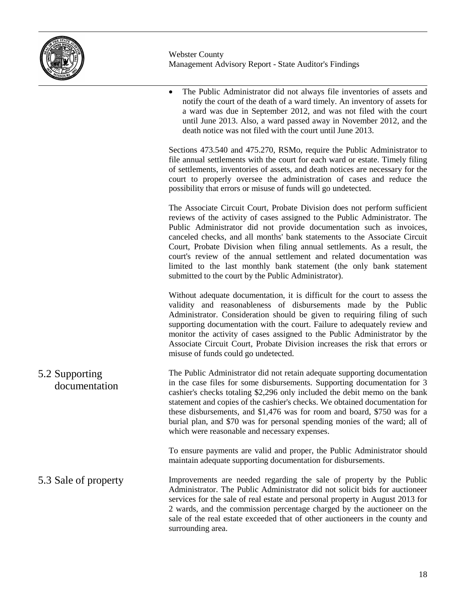

 The Public Administrator did not always file inventories of assets and notify the court of the death of a ward timely. An inventory of assets for a ward was due in September 2012, and was not filed with the court until June 2013. Also, a ward passed away in November 2012, and the death notice was not filed with the court until June 2013.

Sections 473.540 and 475.270, RSMo, require the Public Administrator to file annual settlements with the court for each ward or estate. Timely filing of settlements, inventories of assets, and death notices are necessary for the court to properly oversee the administration of cases and reduce the possibility that errors or misuse of funds will go undetected.

The Associate Circuit Court, Probate Division does not perform sufficient reviews of the activity of cases assigned to the Public Administrator. The Public Administrator did not provide documentation such as invoices, canceled checks, and all months' bank statements to the Associate Circuit Court, Probate Division when filing annual settlements. As a result, the court's review of the annual settlement and related documentation was limited to the last monthly bank statement (the only bank statement submitted to the court by the Public Administrator).

Without adequate documentation, it is difficult for the court to assess the validity and reasonableness of disbursements made by the Public Administrator. Consideration should be given to requiring filing of such supporting documentation with the court. Failure to adequately review and monitor the activity of cases assigned to the Public Administrator by the Associate Circuit Court, Probate Division increases the risk that errors or misuse of funds could go undetected.

The Public Administrator did not retain adequate supporting documentation in the case files for some disbursements. Supporting documentation for 3 cashier's checks totaling \$2,296 only included the debit memo on the bank statement and copies of the cashier's checks. We obtained documentation for these disbursements, and \$1,476 was for room and board, \$750 was for a burial plan, and \$70 was for personal spending monies of the ward; all of which were reasonable and necessary expenses. 5.2 Supporting documentation

> To ensure payments are valid and proper, the Public Administrator should maintain adequate supporting documentation for disbursements.

Improvements are needed regarding the sale of property by the Public Administrator. The Public Administrator did not solicit bids for auctioneer services for the sale of real estate and personal property in August 2013 for 2 wards, and the commission percentage charged by the auctioneer on the sale of the real estate exceeded that of other auctioneers in the county and surrounding area. 5.3 Sale of property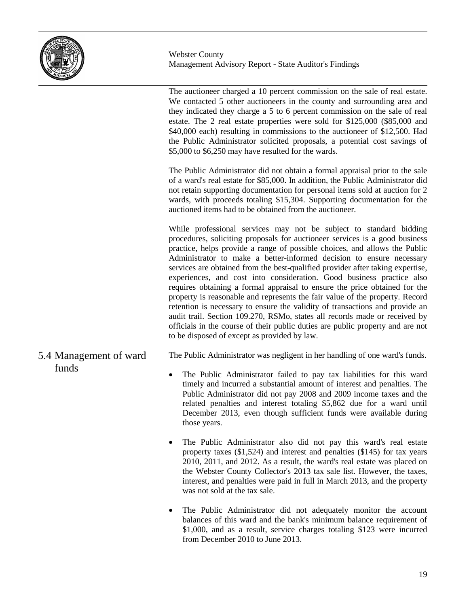

The auctioneer charged a 10 percent commission on the sale of real estate. We contacted 5 other auctioneers in the county and surrounding area and they indicated they charge a 5 to 6 percent commission on the sale of real estate. The 2 real estate properties were sold for \$125,000 (\$85,000 and \$40,000 each) resulting in commissions to the auctioneer of \$12,500. Had the Public Administrator solicited proposals, a potential cost savings of \$5,000 to \$6,250 may have resulted for the wards.

The Public Administrator did not obtain a formal appraisal prior to the sale of a ward's real estate for \$85,000. In addition, the Public Administrator did not retain supporting documentation for personal items sold at auction for 2 wards, with proceeds totaling \$15,304. Supporting documentation for the auctioned items had to be obtained from the auctioneer.

While professional services may not be subject to standard bidding procedures, soliciting proposals for auctioneer services is a good business practice, helps provide a range of possible choices, and allows the Public Administrator to make a better-informed decision to ensure necessary services are obtained from the best-qualified provider after taking expertise, experiences, and cost into consideration. Good business practice also requires obtaining a formal appraisal to ensure the price obtained for the property is reasonable and represents the fair value of the property. Record retention is necessary to ensure the validity of transactions and provide an audit trail. Section 109.270, RSMo, states all records made or received by officials in the course of their public duties are public property and are not to be disposed of except as provided by law.

### 5.4 Management of ward funds

The Public Administrator was negligent in her handling of one ward's funds.

- The Public Administrator failed to pay tax liabilities for this ward timely and incurred a substantial amount of interest and penalties. The Public Administrator did not pay 2008 and 2009 income taxes and the related penalties and interest totaling \$5,862 due for a ward until December 2013, even though sufficient funds were available during those years.
- The Public Administrator also did not pay this ward's real estate property taxes (\$1,524) and interest and penalties (\$145) for tax years 2010, 2011, and 2012. As a result, the ward's real estate was placed on the Webster County Collector's 2013 tax sale list. However, the taxes, interest, and penalties were paid in full in March 2013, and the property was not sold at the tax sale.
- The Public Administrator did not adequately monitor the account balances of this ward and the bank's minimum balance requirement of \$1,000, and as a result, service charges totaling \$123 were incurred from December 2010 to June 2013.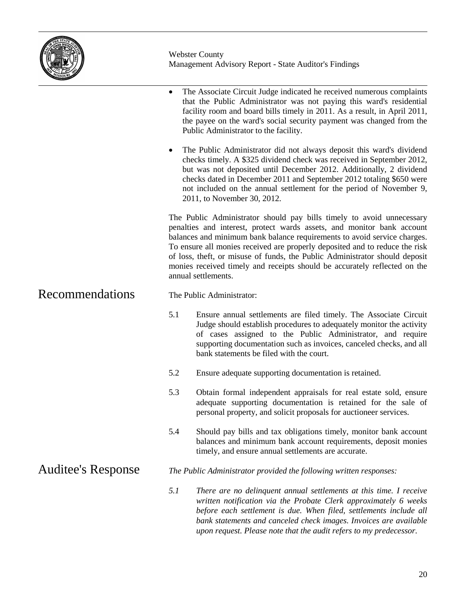

|                           |                           | The Associate Circuit Judge indicated he received numerous complaints<br>that the Public Administrator was not paying this ward's residential<br>facility room and board bills timely in 2011. As a result, in April 2011,<br>the payee on the ward's social security payment was changed from the<br>Public Administrator to the facility.                                                                                                                                                   |  |
|---------------------------|---------------------------|-----------------------------------------------------------------------------------------------------------------------------------------------------------------------------------------------------------------------------------------------------------------------------------------------------------------------------------------------------------------------------------------------------------------------------------------------------------------------------------------------|--|
|                           | $\bullet$                 | The Public Administrator did not always deposit this ward's dividend<br>checks timely. A \$325 dividend check was received in September 2012,<br>but was not deposited until December 2012. Additionally, 2 dividend<br>checks dated in December 2011 and September 2012 totaling \$650 were<br>not included on the annual settlement for the period of November 9,<br>2011, to November 30, 2012.                                                                                            |  |
|                           |                           | The Public Administrator should pay bills timely to avoid unnecessary<br>penalties and interest, protect wards assets, and monitor bank account<br>balances and minimum bank balance requirements to avoid service charges.<br>To ensure all monies received are properly deposited and to reduce the risk<br>of loss, theft, or misuse of funds, the Public Administrator should deposit<br>monies received timely and receipts should be accurately reflected on the<br>annual settlements. |  |
| Recommendations           | The Public Administrator: |                                                                                                                                                                                                                                                                                                                                                                                                                                                                                               |  |
|                           | 5.1                       | Ensure annual settlements are filed timely. The Associate Circuit<br>Judge should establish procedures to adequately monitor the activity<br>of cases assigned to the Public Administrator, and require<br>supporting documentation such as invoices, canceled checks, and all<br>bank statements be filed with the court.                                                                                                                                                                    |  |
|                           | 5.2                       | Ensure adequate supporting documentation is retained.                                                                                                                                                                                                                                                                                                                                                                                                                                         |  |
|                           | 5.3                       | Obtain formal independent appraisals for real estate sold, ensure<br>adequate supporting documentation is retained for the sale of<br>personal property, and solicit proposals for auctioneer services.                                                                                                                                                                                                                                                                                       |  |
|                           | 5.4                       | Should pay bills and tax obligations timely, monitor bank account<br>balances and minimum bank account requirements, deposit monies<br>timely, and ensure annual settlements are accurate.                                                                                                                                                                                                                                                                                                    |  |
| <b>Auditee's Response</b> |                           | The Public Administrator provided the following written responses:                                                                                                                                                                                                                                                                                                                                                                                                                            |  |
|                           | 5.1                       | There are no delinquent annual settlements at this time. I receive<br>written notification via the Probate Clerk approximately 6 weeks<br>before each settlement is due. When filed, settlements include all<br>bank statements and canceled check images. Invoices are available<br>upon request. Please note that the audit refers to my predecessor.                                                                                                                                       |  |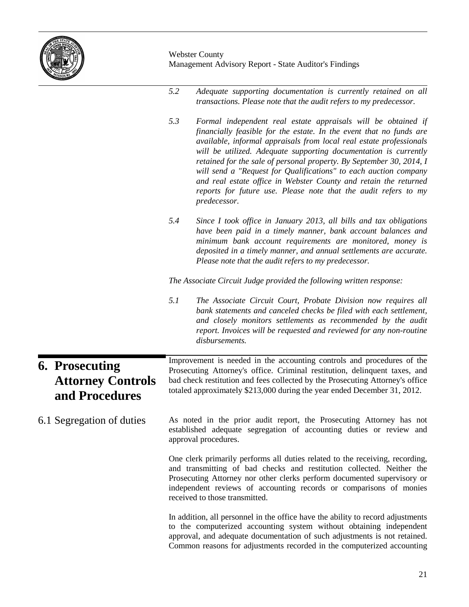

|                                                                     | 5.2                                                                                                                                                                                                                                                                                                               | Adequate supporting documentation is currently retained on all<br>transactions. Please note that the audit refers to my predecessor.                                                                                                                                                                                                                                                                                                                                                                                                                                               |  |  |
|---------------------------------------------------------------------|-------------------------------------------------------------------------------------------------------------------------------------------------------------------------------------------------------------------------------------------------------------------------------------------------------------------|------------------------------------------------------------------------------------------------------------------------------------------------------------------------------------------------------------------------------------------------------------------------------------------------------------------------------------------------------------------------------------------------------------------------------------------------------------------------------------------------------------------------------------------------------------------------------------|--|--|
|                                                                     | 5.3                                                                                                                                                                                                                                                                                                               | Formal independent real estate appraisals will be obtained if<br>financially feasible for the estate. In the event that no funds are<br>available, informal appraisals from local real estate professionals<br>will be utilized. Adequate supporting documentation is currently<br>retained for the sale of personal property. By September 30, 2014, I<br>will send a "Request for Qualifications" to each auction company<br>and real estate office in Webster County and retain the returned<br>reports for future use. Please note that the audit refers to my<br>predecessor. |  |  |
|                                                                     | 5.4                                                                                                                                                                                                                                                                                                               | Since I took office in January 2013, all bills and tax obligations<br>have been paid in a timely manner, bank account balances and<br>minimum bank account requirements are monitored, money is<br>deposited in a timely manner, and annual settlements are accurate.<br>Please note that the audit refers to my predecessor.                                                                                                                                                                                                                                                      |  |  |
|                                                                     |                                                                                                                                                                                                                                                                                                                   | The Associate Circuit Judge provided the following written response:                                                                                                                                                                                                                                                                                                                                                                                                                                                                                                               |  |  |
|                                                                     | 5.1                                                                                                                                                                                                                                                                                                               | The Associate Circuit Court, Probate Division now requires all<br>bank statements and canceled checks be filed with each settlement,<br>and closely monitors settlements as recommended by the audit<br>report. Invoices will be requested and reviewed for any non-routine<br>disbursements.                                                                                                                                                                                                                                                                                      |  |  |
| <b>6. Prosecuting</b><br><b>Attorney Controls</b><br>and Procedures | Improvement is needed in the accounting controls and procedures of the<br>Prosecuting Attorney's office. Criminal restitution, delinquent taxes, and<br>bad check restitution and fees collected by the Prosecuting Attorney's office<br>totaled approximately \$213,000 during the year ended December 31, 2012. |                                                                                                                                                                                                                                                                                                                                                                                                                                                                                                                                                                                    |  |  |
| 6.1 Segregation of duties                                           |                                                                                                                                                                                                                                                                                                                   | As noted in the prior audit report, the Prosecuting Attorney has not<br>established adequate segregation of accounting duties or review and<br>approval procedures.                                                                                                                                                                                                                                                                                                                                                                                                                |  |  |
|                                                                     |                                                                                                                                                                                                                                                                                                                   | One clerk primarily performs all duties related to the receiving, recording,<br>and transmitting of bad checks and restitution collected. Neither the<br>Prosecuting Attorney nor other clerks perform documented supervisory or<br>independent reviews of accounting records or comparisons of monies<br>received to those transmitted.                                                                                                                                                                                                                                           |  |  |
|                                                                     |                                                                                                                                                                                                                                                                                                                   | In addition, all personnel in the office have the ability to record adjustments<br>to the computerized accounting system without obtaining independent<br>approval, and adequate documentation of such adjustments is not retained.<br>Common reasons for adjustments recorded in the computerized accounting                                                                                                                                                                                                                                                                      |  |  |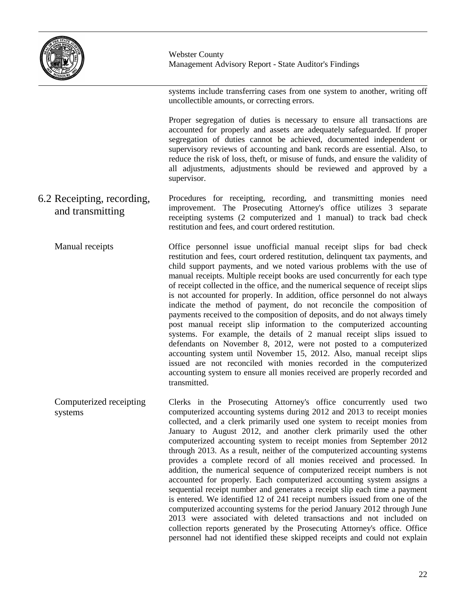

systems include transferring cases from one system to another, writing off uncollectible amounts, or correcting errors.

Proper segregation of duties is necessary to ensure all transactions are accounted for properly and assets are adequately safeguarded. If proper segregation of duties cannot be achieved, documented independent or supervisory reviews of accounting and bank records are essential. Also, to reduce the risk of loss, theft, or misuse of funds, and ensure the validity of all adjustments, adjustments should be reviewed and approved by a supervisor.

Procedures for receipting, recording, and transmitting monies need improvement. The Prosecuting Attorney's office utilizes 3 separate receipting systems (2 computerized and 1 manual) to track bad check restitution and fees, and court ordered restitution. 6.2 Receipting, recording, and transmitting

Office personnel issue unofficial manual receipt slips for bad check restitution and fees, court ordered restitution, delinquent tax payments, and child support payments, and we noted various problems with the use of manual receipts. Multiple receipt books are used concurrently for each type of receipt collected in the office, and the numerical sequence of receipt slips is not accounted for properly. In addition, office personnel do not always indicate the method of payment, do not reconcile the composition of payments received to the composition of deposits, and do not always timely post manual receipt slip information to the computerized accounting systems. For example, the details of 2 manual receipt slips issued to defendants on November 8, 2012, were not posted to a computerized accounting system until November 15, 2012. Also, manual receipt slips issued are not reconciled with monies recorded in the computerized accounting system to ensure all monies received are properly recorded and transmitted. Manual receipts

Clerks in the Prosecuting Attorney's office concurrently used two computerized accounting systems during 2012 and 2013 to receipt monies collected, and a clerk primarily used one system to receipt monies from January to August 2012, and another clerk primarily used the other computerized accounting system to receipt monies from September 2012 through 2013. As a result, neither of the computerized accounting systems provides a complete record of all monies received and processed. In addition, the numerical sequence of computerized receipt numbers is not accounted for properly. Each computerized accounting system assigns a sequential receipt number and generates a receipt slip each time a payment is entered. We identified 12 of 241 receipt numbers issued from one of the computerized accounting systems for the period January 2012 through June 2013 were associated with deleted transactions and not included on collection reports generated by the Prosecuting Attorney's office. Office personnel had not identified these skipped receipts and could not explain Computerized receipting systems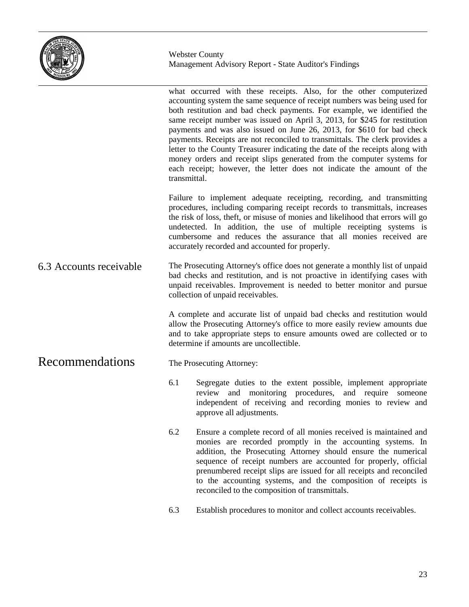

what occurred with these receipts. Also, for the other computerized accounting system the same sequence of receipt numbers was being used for both restitution and bad check payments. For example, we identified the same receipt number was issued on April 3, 2013, for \$245 for restitution payments and was also issued on June 26, 2013, for \$610 for bad check payments. Receipts are not reconciled to transmittals. The clerk provides a letter to the County Treasurer indicating the date of the receipts along with money orders and receipt slips generated from the computer systems for each receipt; however, the letter does not indicate the amount of the transmittal. Failure to implement adequate receipting, recording, and transmitting procedures, including comparing receipt records to transmittals, increases the risk of loss, theft, or misuse of monies and likelihood that errors will go undetected. In addition, the use of multiple receipting systems is cumbersome and reduces the assurance that all monies received are accurately recorded and accounted for properly. The Prosecuting Attorney's office does not generate a monthly list of unpaid bad checks and restitution, and is not proactive in identifying cases with unpaid receivables. Improvement is needed to better monitor and pursue collection of unpaid receivables. A complete and accurate list of unpaid bad checks and restitution would allow the Prosecuting Attorney's office to more easily review amounts due and to take appropriate steps to ensure amounts owed are collected or to determine if amounts are uncollectible. The Prosecuting Attorney: 6.1 Segregate duties to the extent possible, implement appropriate review and monitoring procedures, and require someone independent of receiving and recording monies to review and approve all adjustments. 6.2 Ensure a complete record of all monies received is maintained and monies are recorded promptly in the accounting systems. In addition, the Prosecuting Attorney should ensure the numerical sequence of receipt numbers are accounted for properly, official prenumbered receipt slips are issued for all receipts and reconciled to the accounting systems, and the composition of receipts is reconciled to the composition of transmittals. 6.3 Establish procedures to monitor and collect accounts receivables. 6.3 Accounts receivable Recommendations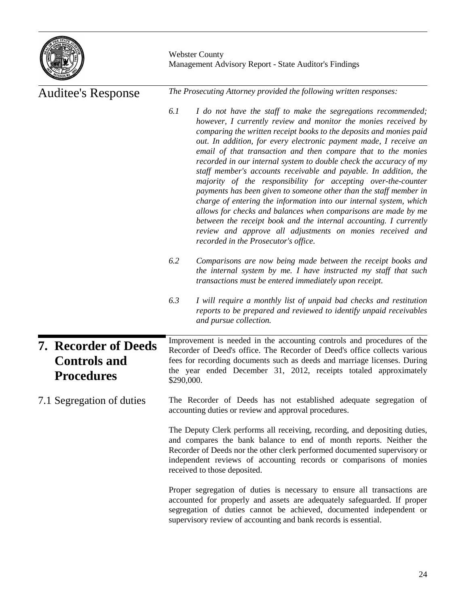

| <b>Auditee's Response</b> |                                                                         | The Prosecuting Attorney provided the following written responses:                                                                                                                                                                                                                                                                                                                                                                                                                                                                                                                                                                                                                                                                                                                                                                                                                                                                                    |  |  |  |
|---------------------------|-------------------------------------------------------------------------|-------------------------------------------------------------------------------------------------------------------------------------------------------------------------------------------------------------------------------------------------------------------------------------------------------------------------------------------------------------------------------------------------------------------------------------------------------------------------------------------------------------------------------------------------------------------------------------------------------------------------------------------------------------------------------------------------------------------------------------------------------------------------------------------------------------------------------------------------------------------------------------------------------------------------------------------------------|--|--|--|
|                           |                                                                         | 6.1<br>I do not have the staff to make the segregations recommended;<br>however, I currently review and monitor the monies received by<br>comparing the written receipt books to the deposits and monies paid<br>out. In addition, for every electronic payment made, I receive an<br>email of that transaction and then compare that to the monies<br>recorded in our internal system to double check the accuracy of my<br>staff member's accounts receivable and payable. In addition, the<br>majority of the responsibility for accepting over-the-counter<br>payments has been given to someone other than the staff member in<br>charge of entering the information into our internal system, which<br>allows for checks and balances when comparisons are made by me<br>between the receipt book and the internal accounting. I currently<br>review and approve all adjustments on monies received and<br>recorded in the Prosecutor's office. |  |  |  |
|                           |                                                                         | 6.2<br>Comparisons are now being made between the receipt books and<br>the internal system by me. I have instructed my staff that such<br>transactions must be entered immediately upon receipt.                                                                                                                                                                                                                                                                                                                                                                                                                                                                                                                                                                                                                                                                                                                                                      |  |  |  |
|                           |                                                                         | 6.3<br>I will require a monthly list of unpaid bad checks and restitution<br>reports to be prepared and reviewed to identify unpaid receivables<br>and pursue collection.                                                                                                                                                                                                                                                                                                                                                                                                                                                                                                                                                                                                                                                                                                                                                                             |  |  |  |
|                           | <b>7. Recorder of Deeds</b><br><b>Controls and</b><br><b>Procedures</b> | Improvement is needed in the accounting controls and procedures of the<br>Recorder of Deed's office. The Recorder of Deed's office collects various<br>fees for recording documents such as deeds and marriage licenses. During<br>the year ended December 31, 2012, receipts totaled approximately<br>\$290,000.                                                                                                                                                                                                                                                                                                                                                                                                                                                                                                                                                                                                                                     |  |  |  |
|                           | 7.1 Segregation of duties                                               | The Recorder of Deeds has not established adequate segregation of<br>accounting duties or review and approval procedures.                                                                                                                                                                                                                                                                                                                                                                                                                                                                                                                                                                                                                                                                                                                                                                                                                             |  |  |  |
|                           |                                                                         | The Deputy Clerk performs all receiving, recording, and depositing duties,<br>and compares the bank balance to end of month reports. Neither the<br>Recorder of Deeds nor the other clerk performed documented supervisory or<br>independent reviews of accounting records or comparisons of monies<br>received to those deposited.                                                                                                                                                                                                                                                                                                                                                                                                                                                                                                                                                                                                                   |  |  |  |
|                           |                                                                         | Proper segregation of duties is necessary to ensure all transactions are<br>accounted for properly and assets are adequately safeguarded. If proper<br>segregation of duties cannot be achieved, documented independent or<br>supervisory review of accounting and bank records is essential.                                                                                                                                                                                                                                                                                                                                                                                                                                                                                                                                                                                                                                                         |  |  |  |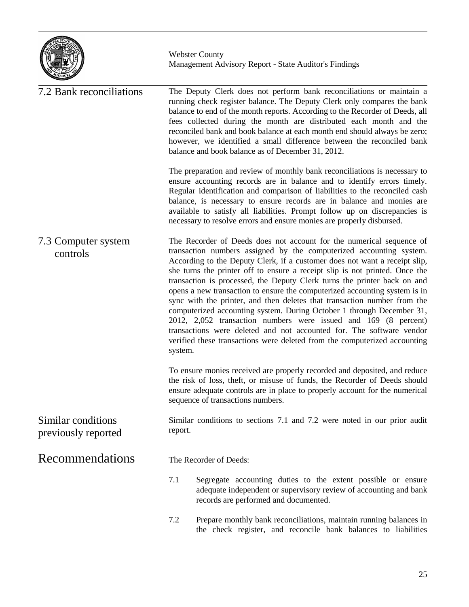

| 7.2 Bank reconciliations                  | The Deputy Clerk does not perform bank reconciliations or maintain a<br>running check register balance. The Deputy Clerk only compares the bank<br>balance to end of the month reports. According to the Recorder of Deeds, all<br>fees collected during the month are distributed each month and the<br>reconciled bank and book balance at each month end should always be zero;<br>however, we identified a small difference between the reconciled bank<br>balance and book balance as of December 31, 2012.                                                                                                                                                                                                                                                                                                                                           |  |  |  |
|-------------------------------------------|------------------------------------------------------------------------------------------------------------------------------------------------------------------------------------------------------------------------------------------------------------------------------------------------------------------------------------------------------------------------------------------------------------------------------------------------------------------------------------------------------------------------------------------------------------------------------------------------------------------------------------------------------------------------------------------------------------------------------------------------------------------------------------------------------------------------------------------------------------|--|--|--|
|                                           | The preparation and review of monthly bank reconciliations is necessary to<br>ensure accounting records are in balance and to identify errors timely.<br>Regular identification and comparison of liabilities to the reconciled cash<br>balance, is necessary to ensure records are in balance and monies are<br>available to satisfy all liabilities. Prompt follow up on discrepancies is<br>necessary to resolve errors and ensure monies are properly disbursed.                                                                                                                                                                                                                                                                                                                                                                                       |  |  |  |
| 7.3 Computer system<br>controls           | The Recorder of Deeds does not account for the numerical sequence of<br>transaction numbers assigned by the computerized accounting system.<br>According to the Deputy Clerk, if a customer does not want a receipt slip,<br>she turns the printer off to ensure a receipt slip is not printed. Once the<br>transaction is processed, the Deputy Clerk turns the printer back on and<br>opens a new transaction to ensure the computerized accounting system is in<br>sync with the printer, and then deletes that transaction number from the<br>computerized accounting system. During October 1 through December 31,<br>2012, 2,052 transaction numbers were issued and 169 (8 percent)<br>transactions were deleted and not accounted for. The software vendor<br>verified these transactions were deleted from the computerized accounting<br>system. |  |  |  |
|                                           | To ensure monies received are properly recorded and deposited, and reduce<br>the risk of loss, theft, or misuse of funds, the Recorder of Deeds should<br>ensure adequate controls are in place to properly account for the numerical<br>sequence of transactions numbers.                                                                                                                                                                                                                                                                                                                                                                                                                                                                                                                                                                                 |  |  |  |
| Similar conditions<br>previously reported | Similar conditions to sections 7.1 and 7.2 were noted in our prior audit<br>report.                                                                                                                                                                                                                                                                                                                                                                                                                                                                                                                                                                                                                                                                                                                                                                        |  |  |  |
| Recommendations                           | The Recorder of Deeds:                                                                                                                                                                                                                                                                                                                                                                                                                                                                                                                                                                                                                                                                                                                                                                                                                                     |  |  |  |
|                                           | 7.1<br>Segregate accounting duties to the extent possible or ensure<br>adequate independent or supervisory review of accounting and bank<br>records are performed and documented.                                                                                                                                                                                                                                                                                                                                                                                                                                                                                                                                                                                                                                                                          |  |  |  |
|                                           | 7.2<br>Prepare monthly bank reconciliations, maintain running balances in<br>the check register, and reconcile bank balances to liabilities                                                                                                                                                                                                                                                                                                                                                                                                                                                                                                                                                                                                                                                                                                                |  |  |  |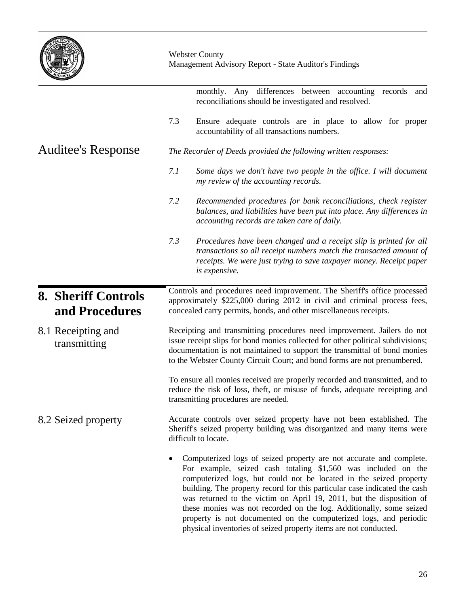|                                              | <b>Webster County</b><br>Management Advisory Report - State Auditor's Findings                                                                                                                                                                                                                                                                                                                                                              |  |  |  |
|----------------------------------------------|---------------------------------------------------------------------------------------------------------------------------------------------------------------------------------------------------------------------------------------------------------------------------------------------------------------------------------------------------------------------------------------------------------------------------------------------|--|--|--|
|                                              | monthly. Any differences between accounting records<br>and<br>reconciliations should be investigated and resolved.                                                                                                                                                                                                                                                                                                                          |  |  |  |
|                                              | 7.3<br>Ensure adequate controls are in place to allow for proper<br>accountability of all transactions numbers.                                                                                                                                                                                                                                                                                                                             |  |  |  |
| <b>Auditee's Response</b>                    | The Recorder of Deeds provided the following written responses:                                                                                                                                                                                                                                                                                                                                                                             |  |  |  |
|                                              | 7.1<br>Some days we don't have two people in the office. I will document<br>my review of the accounting records.                                                                                                                                                                                                                                                                                                                            |  |  |  |
|                                              | 7.2<br>Recommended procedures for bank reconciliations, check register<br>balances, and liabilities have been put into place. Any differences in<br>accounting records are taken care of daily.                                                                                                                                                                                                                                             |  |  |  |
|                                              | 7.3<br>Procedures have been changed and a receipt slip is printed for all<br>transactions so all receipt numbers match the transacted amount of<br>receipts. We were just trying to save taxpayer money. Receipt paper<br>is expensive.                                                                                                                                                                                                     |  |  |  |
| <b>8. Sheriff Controls</b><br>and Procedures | Controls and procedures need improvement. The Sheriff's office processed<br>approximately \$225,000 during 2012 in civil and criminal process fees,<br>concealed carry permits, bonds, and other miscellaneous receipts.                                                                                                                                                                                                                    |  |  |  |
| 8.1 Receipting and<br>transmitting           | Receipting and transmitting procedures need improvement. Jailers do not<br>issue receipt slips for bond monies collected for other political subdivisions;<br>documentation is not maintained to support the transmittal of bond monies<br>to the Webster County Circuit Court; and bond forms are not prenumbered.                                                                                                                         |  |  |  |
|                                              | To ensure all monies received are properly recorded and transmitted, and to<br>reduce the risk of loss, theft, or misuse of funds, adequate receipting and<br>transmitting procedures are needed.                                                                                                                                                                                                                                           |  |  |  |
| 8.2 Seized property                          | Accurate controls over seized property have not been established. The<br>Sheriff's seized property building was disorganized and many items were<br>difficult to locate.                                                                                                                                                                                                                                                                    |  |  |  |
|                                              | Computerized logs of seized property are not accurate and complete.<br>٠<br>For example, seized cash totaling \$1,560 was included on the<br>computerized logs, but could not be located in the seized property<br>building. The property record for this particular case indicated the cash<br>was returned to the victim on April 19, 2011, but the disposition of<br>these monies was not recorded on the log. Additionally, some seized |  |  |  |

property is not documented on the computerized logs, and periodic

physical inventories of seized property items are not conducted.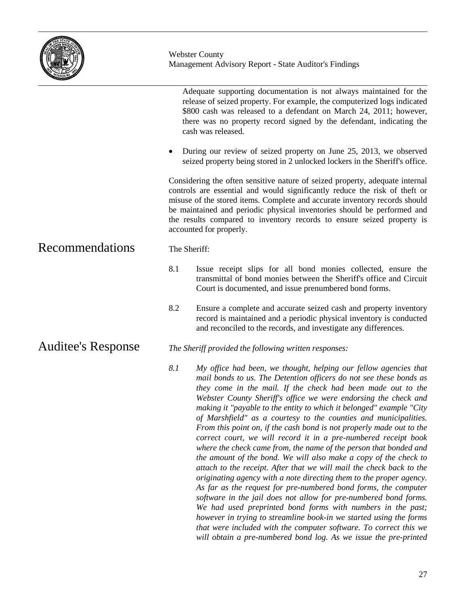|                           | <b>Webster County</b><br>Management Advisory Report - State Auditor's Findings                                                                                                                                                                                                                                                                                                                                                                                                                                                                                                                                                                                                                                                                                                                                                                                                                                                     |  |  |
|---------------------------|------------------------------------------------------------------------------------------------------------------------------------------------------------------------------------------------------------------------------------------------------------------------------------------------------------------------------------------------------------------------------------------------------------------------------------------------------------------------------------------------------------------------------------------------------------------------------------------------------------------------------------------------------------------------------------------------------------------------------------------------------------------------------------------------------------------------------------------------------------------------------------------------------------------------------------|--|--|
|                           | Adequate supporting documentation is not always maintained for the<br>release of seized property. For example, the computerized logs indicated<br>\$800 cash was released to a defendant on March 24, 2011; however,<br>there was no property record signed by the defendant, indicating the<br>cash was released.                                                                                                                                                                                                                                                                                                                                                                                                                                                                                                                                                                                                                 |  |  |
|                           | During our review of seized property on June 25, 2013, we observed<br>٠<br>seized property being stored in 2 unlocked lockers in the Sheriff's office.                                                                                                                                                                                                                                                                                                                                                                                                                                                                                                                                                                                                                                                                                                                                                                             |  |  |
|                           | Considering the often sensitive nature of seized property, adequate internal<br>controls are essential and would significantly reduce the risk of theft or<br>misuse of the stored items. Complete and accurate inventory records should<br>be maintained and periodic physical inventories should be performed and<br>the results compared to inventory records to ensure seized property is<br>accounted for properly.                                                                                                                                                                                                                                                                                                                                                                                                                                                                                                           |  |  |
| Recommendations           | The Sheriff:                                                                                                                                                                                                                                                                                                                                                                                                                                                                                                                                                                                                                                                                                                                                                                                                                                                                                                                       |  |  |
|                           | 8.1<br>Issue receipt slips for all bond monies collected, ensure the<br>transmittal of bond monies between the Sheriff's office and Circuit<br>Court is documented, and issue prenumbered bond forms.                                                                                                                                                                                                                                                                                                                                                                                                                                                                                                                                                                                                                                                                                                                              |  |  |
|                           | 8.2<br>Ensure a complete and accurate seized cash and property inventory<br>record is maintained and a periodic physical inventory is conducted<br>and reconciled to the records, and investigate any differences.                                                                                                                                                                                                                                                                                                                                                                                                                                                                                                                                                                                                                                                                                                                 |  |  |
| <b>Auditee's Response</b> | The Sheriff provided the following written responses:                                                                                                                                                                                                                                                                                                                                                                                                                                                                                                                                                                                                                                                                                                                                                                                                                                                                              |  |  |
|                           | 8.1<br>My office had been, we thought, helping our fellow agencies that<br>mail bonds to us. The Detention officers do not see these bonds as<br>they come in the mail. If the check had been made out to the<br>Webster County Sheriff's office we were endorsing the check and<br>making it "payable to the entity to which it belonged" example "City<br>of Marshfield" as a courtesy to the counties and municipalities.<br>From this point on, if the cash bond is not properly made out to the<br>correct court, we will record it in a pre-numbered receipt book<br>where the check came from, the name of the person that bonded and<br>the amount of the bond. We will also make a copy of the check to<br>attach to the receipt. After that we will mail the check back to the<br>originating agency with a note directing them to the proper agency.<br>As far as the request for pre-numbered bond forms, the computer |  |  |

*software in the jail does not allow for pre-numbered bond forms. We had used preprinted bond forms with numbers in the past; however in trying to streamline book-in we started using the forms that were included with the computer software. To correct this we will obtain a pre-numbered bond log. As we issue the pre-printed*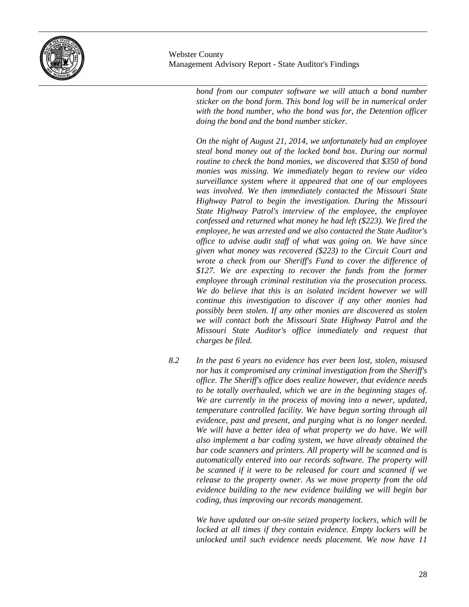

*bond from our computer software we will attach a bond number sticker on the bond form. This bond log will be in numerical order with the bond number, who the bond was for, the Detention officer doing the bond and the bond number sticker.*

*On the night of August 21, 2014, we unfortunately had an employee steal bond money out of the locked bond box. During our normal routine to check the bond monies, we discovered that \$350 of bond monies was missing. We immediately began to review our video surveillance system where it appeared that one of our employees was involved. We then immediately contacted the Missouri State Highway Patrol to begin the investigation. During the Missouri State Highway Patrol's interview of the employee, the employee confessed and returned what money he had left (\$223). We fired the employee, he was arrested and we also contacted the State Auditor's office to advise audit staff of what was going on. We have since given what money was recovered (\$223) to the Circuit Court and wrote a check from our Sheriff's Fund to cover the difference of \$127. We are expecting to recover the funds from the former employee through criminal restitution via the prosecution process. We do believe that this is an isolated incident however we will continue this investigation to discover if any other monies had possibly been stolen. If any other monies are discovered as stolen we will contact both the Missouri State Highway Patrol and the Missouri State Auditor's office immediately and request that charges be filed.*

*8.2 In the past 6 years no evidence has ever been lost, stolen, misused nor has it compromised any criminal investigation from the Sheriff's office. The Sheriff's office does realize however, that evidence needs to be totally overhauled, which we are in the beginning stages of. We are currently in the process of moving into a newer, updated, temperature controlled facility. We have begun sorting through all evidence, past and present, and purging what is no longer needed. We will have a better idea of what property we do have. We will also implement a bar coding system, we have already obtained the bar code scanners and printers. All property will be scanned and is automatically entered into our records software. The property will be scanned if it were to be released for court and scanned if we release to the property owner. As we move property from the old evidence building to the new evidence building we will begin bar coding, thus improving our records management.*

> *We have updated our on-site seized property lockers, which will be locked at all times if they contain evidence. Empty lockers will be unlocked until such evidence needs placement. We now have 11*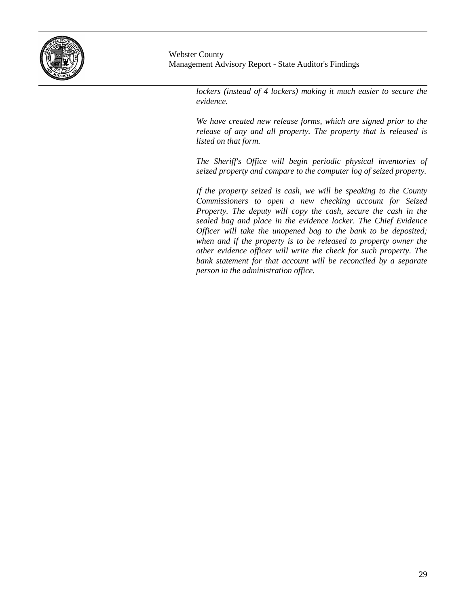

> *lockers (instead of 4 lockers) making it much easier to secure the evidence.*

> *We have created new release forms, which are signed prior to the release of any and all property. The property that is released is listed on that form.*

> *The Sheriff's Office will begin periodic physical inventories of seized property and compare to the computer log of seized property.*

> *If the property seized is cash, we will be speaking to the County Commissioners to open a new checking account for Seized Property. The deputy will copy the cash, secure the cash in the sealed bag and place in the evidence locker. The Chief Evidence Officer will take the unopened bag to the bank to be deposited; when and if the property is to be released to property owner the other evidence officer will write the check for such property. The bank statement for that account will be reconciled by a separate person in the administration office.*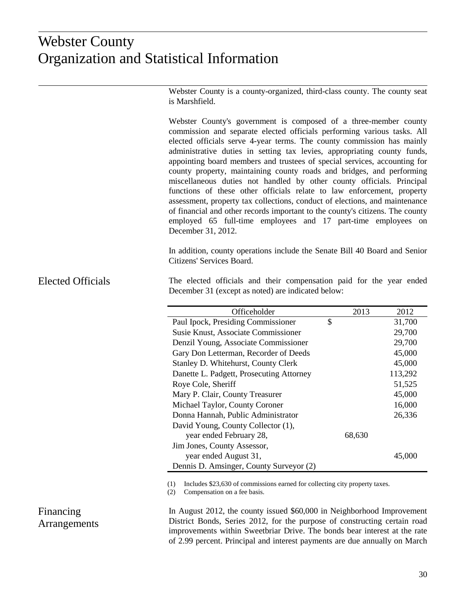## istical Inf Organization and Statistical Information Organization and Statistical Information Webster County

Webster County is a county-organized, third-class county. The county seat is Marshfield.

Webster County's government is composed of a three-member county commission and separate elected officials performing various tasks. All elected officials serve 4-year terms. The county commission has mainly administrative duties in setting tax levies, appropriating county funds, appointing board members and trustees of special services, accounting for county property, maintaining county roads and bridges, and performing miscellaneous duties not handled by other county officials. Principal functions of these other officials relate to law enforcement, property assessment, property tax collections, conduct of elections, and maintenance of financial and other records important to the county's citizens. The county employed 65 full-time employees and 17 part-time employees on December 31, 2012.

In addition, county operations include the Senate Bill 40 Board and Senior Citizens' Services Board.

#### The elected officials and their compensation paid for the year ended December 31 (except as noted) are indicated below: Elected Officials

| Officeholder                             | 2013   | 2012    |
|------------------------------------------|--------|---------|
| Paul Ipock, Presiding Commissioner       | \$     | 31,700  |
| Susie Knust, Associate Commissioner      |        | 29,700  |
| Denzil Young, Associate Commissioner     |        | 29,700  |
| Gary Don Letterman, Recorder of Deeds    |        | 45,000  |
| Stanley D. Whitehurst, County Clerk      |        | 45,000  |
| Danette L. Padgett, Prosecuting Attorney |        | 113,292 |
| Roye Cole, Sheriff                       |        | 51,525  |
| Mary P. Clair, County Treasurer          |        | 45,000  |
| Michael Taylor, County Coroner           |        | 16,000  |
| Donna Hannah, Public Administrator       |        | 26,336  |
| David Young, County Collector (1),       |        |         |
| year ended February 28,                  | 68,630 |         |
| Jim Jones, County Assessor,              |        |         |
| year ended August 31,                    |        | 45,000  |
| Dennis D. Amsinger, County Surveyor (2)  |        |         |

(1) Includes \$23,630 of commissions earned for collecting city property taxes.

(2) Compensation on a fee basis.

### In August 2012, the county issued \$60,000 in Neighborhood Improvement District Bonds, Series 2012, for the purpose of constructing certain road improvements within Sweetbriar Drive. The bonds bear interest at the rate of 2.99 percent. Principal and interest payments are due annually on March

# Financing Arrangements